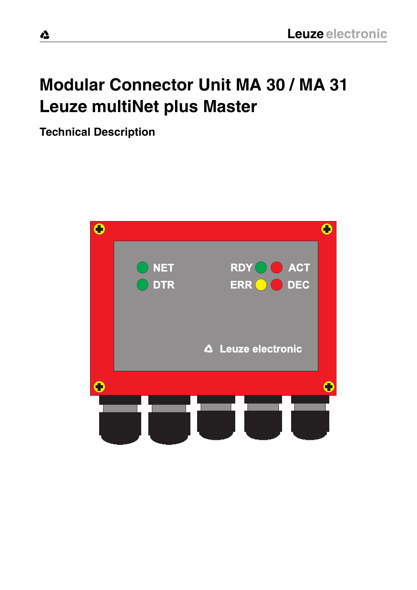# **Modular Connector Unit MA 30 / MA 31 Leuze multiNet plus Master**

**Technical Description**

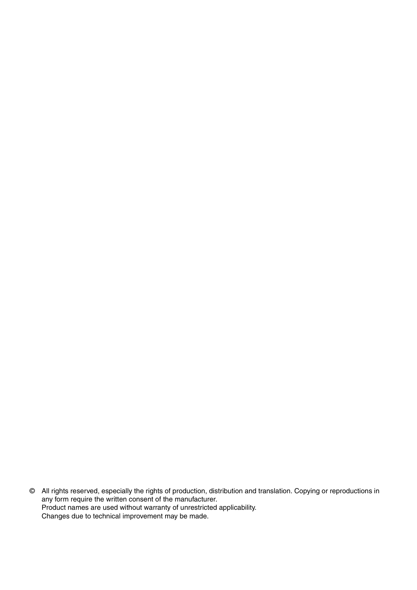© All rights reserved, especially the rights of production, distribution and translation. Copying or reproductions in any form require the written consent of the manufacturer. Product names are used without warranty of unrestricted applicability. Changes due to technical improvement may be made.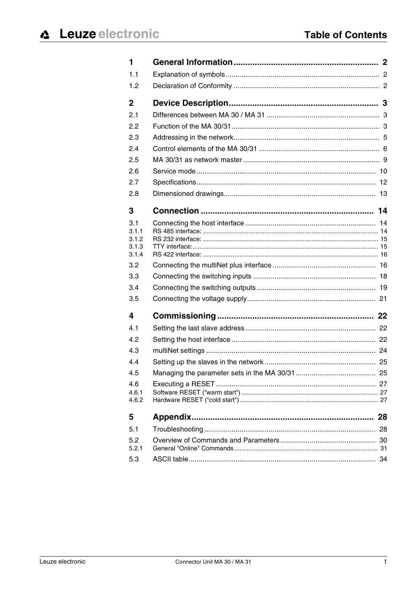| 1              |    |
|----------------|----|
| 1.1            |    |
| 1.2            |    |
| $\mathbf{2}$   |    |
| 2.1            |    |
| 2.2            |    |
| 2.3            |    |
| 2.4            |    |
| 2.5            |    |
| 2.6            |    |
| 2.7            |    |
| 2.8            |    |
| 3              |    |
| 3.1            |    |
| 3.1.1<br>3.1.2 |    |
| 3.1.3          |    |
| 3.1.4          |    |
| 3.2            |    |
| 3.3            |    |
| 3.4            |    |
| 3.5            |    |
| 4              |    |
| 4.1            |    |
| 4.2            |    |
| 4.3            |    |
| 4.4            |    |
| 4.5            |    |
| 4.6            |    |
| 4.6.1<br>4.6.2 |    |
|                |    |
| 5              | 28 |
| 5.1            |    |
| 5.2<br>5.2.1   |    |
| 5.3            |    |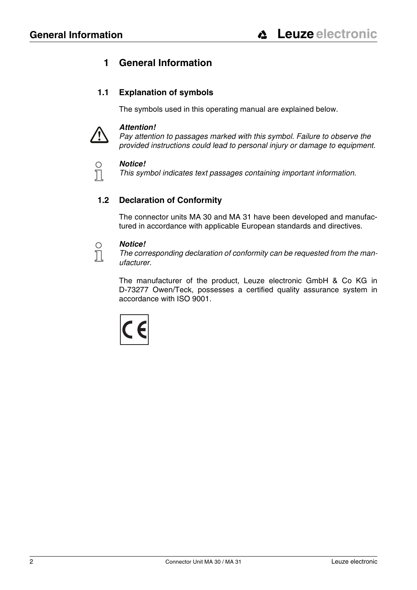## <span id="page-3-0"></span>**1 General Information**

## <span id="page-3-1"></span>**1.1 Explanation of symbols**

The symbols used in this operating manual are explained below.



 $\bigcirc$  $\prod$ 

### *Attention!*

*Pay attention to passages marked with this symbol. Failure to observe the provided instructions could lead to personal injury or damage to equipment.*

### *Notice!*

*This symbol indicates text passages containing important information.*

## <span id="page-3-2"></span>**1.2 Declaration of Conformity**

The connector units MA 30 and MA 31 have been developed and manufactured in accordance with applicable European standards and directives.

#### *Notice!*  $\circ$  $\overline{\Pi}$

*The corresponding declaration of conformity can be requested from the manufacturer.*

The manufacturer of the product, Leuze electronic GmbH & Co KG in D-73277 Owen/Teck, possesses a certified quality assurance system in accordance with ISO 9001.

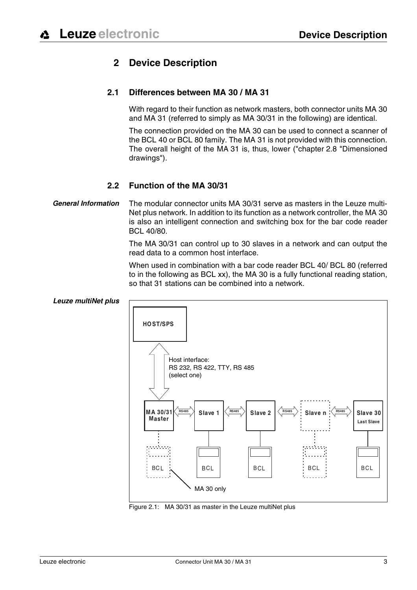## **2 Device Description**

## <span id="page-4-1"></span><span id="page-4-0"></span>**2.1 Differences between MA 30 / MA 31**

With regard to their function as network masters, both connector units MA 30 and MA 31 (referred to simply as MA 30/31 in the following) are identical.

The connection provided on the MA 30 can be used to connect a scanner of the BCL 40 or BCL 80 family. The MA 31 is not provided with this connection. The overall height of the MA 31 is, thus, lower ("[chapter 2.8 "Dimensioned](#page-14-0) [drawings"\)](#page-14-0).

## **2.2 Function of the MA 30/31**

### <span id="page-4-2"></span>*General Information* The modular connector units MA 30/31 serve as masters in the Leuze multi-Net plus network. In addition to its function as a network controller, the MA 30 is also an intelligent connection and switching box for the bar code reader BCL 40/80.

The MA 30/31 can control up to 30 slaves in a network and can output the read data to a common host interface.

When used in combination with a bar code reader BCL 40/ BCL 80 (referred to in the following as BCL xx), the MA 30 is a fully functional reading station, so that 31 stations can be combined into a network.



Figure 2.1: MA 30/31 as master in the Leuze multiNet plus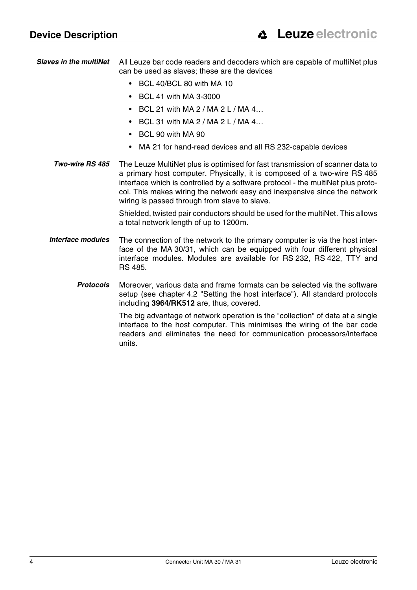<span id="page-5-0"></span>*Slaves in the multiNet* All Leuze bar code readers and decoders which are capable of multiNet plus can be used as slaves; these are the devices

- BCL 40/BCL 80 with MA 10
- BCL 41 with MA 3-3000
- BCL 21 with MA 2 / MA 2 L / MA 4...
- $\cdot$  BCL 31 with MA 2 / MA 2 L / MA 4...
- BCL 90 with MA 90
- MA 21 for hand-read devices and all RS 232-capable devices
- **Two-wire RS 485** The Leuze MultiNet plus is optimised for fast transmission of scanner data to a primary host computer. Physically, it is composed of a two-wire RS 485 interface which is controlled by a software protocol - the multiNet plus protocol. This makes wiring the network easy and inexpensive since the network wiring is passed through from slave to slave.

Shielded, twisted pair conductors should be used for the multiNet. This allows a total network length of up to 1200m.

- *Interface modules* The connection of the network to the primary computer is via the host interface of the MA 30/31, which can be equipped with four different physical interface modules. Modules are available for RS 232, RS 422, TTY and RS 485.
	- *Protocols* Moreover, various data and frame formats can be selected via the software setup (see [chapter 4.2 "Setting the host interface"](#page-23-2)). All standard protocols including **3964/RK512** are, thus, covered.

The big advantage of network operation is the "collection" of data at a single interface to the host computer. This minimises the wiring of the bar code readers and eliminates the need for communication processors/interface units.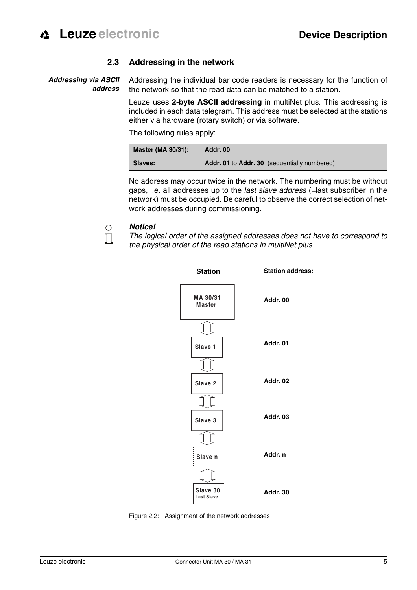### **2.3 Addressing in the network**

<span id="page-6-0"></span> *Addressing via ASCII address* Addressing the individual bar code readers is necessary for the function of the network so that the read data can be matched to a station.

> Leuze uses **2-byte ASCII addressing** in multiNet plus. This addressing is included in each data telegram. This address must be selected at the stations either via hardware (rotary switch) or via software.

The following rules apply:

| Master (MA 30/31): | Addr. 00                                                   |
|--------------------|------------------------------------------------------------|
| <b>Slaves:</b>     | <b>Addr. 01</b> to <b>Addr. 30</b> (sequentially numbered) |

No address may occur twice in the network. The numbering must be without gaps, i.e. all addresses up to the *last slave address* (=last subscriber in the network) must be occupied. Be careful to observe the correct selection of network addresses during commissioning.

## *Notice!*

 $\bigcirc$  $\overline{\Pi}$ 

*The logical order of the assigned addresses does not have to correspond to the physical order of the read stations in multiNet plus.*



Figure 2.2: Assignment of the network addresses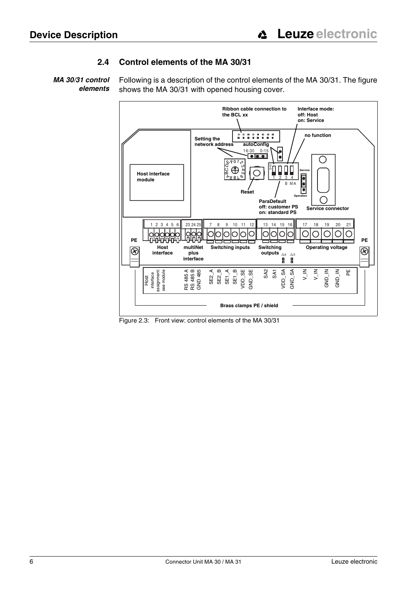### **2.4 Control elements of the MA 30/31**

<span id="page-7-0"></span>*MA 30/31 control elements* Following is a description of the control elements of the MA 30/31. The figure shows the MA 30/31 with opened housing cover.



Figure 2.3: Front view: control elements of the MA 30/31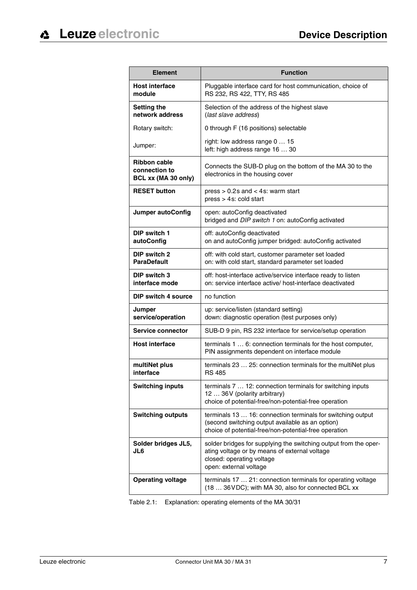| <b>Element</b>                                              | <b>Function</b>                                                                                                                                                          |
|-------------------------------------------------------------|--------------------------------------------------------------------------------------------------------------------------------------------------------------------------|
| <b>Host interface</b><br>module                             | Pluggable interface card for host communication, choice of<br>RS 232, RS 422, TTY, RS 485                                                                                |
| <b>Setting the</b><br>network address                       | Selection of the address of the highest slave<br>(last slave address)                                                                                                    |
| Rotary switch:                                              | 0 through F (16 positions) selectable                                                                                                                                    |
| Jumper:                                                     | right: low address range 0  15<br>left: high address range 16  30                                                                                                        |
| <b>Ribbon cable</b><br>connection to<br>BCL xx (MA 30 only) | Connects the SUB-D plug on the bottom of the MA 30 to the<br>electronics in the housing cover                                                                            |
| <b>RESET button</b>                                         | press $> 0.2$ s and $<$ 4s: warm start<br>press > 4s: cold start                                                                                                         |
| <b>Jumper autoConfig</b>                                    | open: autoConfig deactivated<br>bridged and DIP switch 1 on: autoConfig activated                                                                                        |
| DIP switch 1<br>autoConfig                                  | off: autoConfig deactivated<br>on and autoConfig jumper bridged: autoConfig activated                                                                                    |
| DIP switch 2<br><b>ParaDefault</b>                          | off: with cold start, customer parameter set loaded<br>on: with cold start, standard parameter set loaded                                                                |
| <b>DIP switch 3</b><br>interface mode                       | off: host-interface active/service interface ready to listen<br>on: service interface active/ host-interface deactivated                                                 |
| <b>DIP switch 4 source</b>                                  | no function                                                                                                                                                              |
| Jumper<br>service/operation                                 | up: service/listen (standard setting)<br>down: diagnostic operation (test purposes only)                                                                                 |
| Service connector                                           | SUB-D 9 pin, RS 232 interface for service/setup operation                                                                                                                |
| <b>Host interface</b>                                       | terminals 1  6: connection terminals for the host computer,<br>PIN assignments dependent on interface module                                                             |
| multiNet plus<br>interface                                  | terminals 23  25: connection terminals for the multiNet plus<br><b>RS 485</b>                                                                                            |
| <b>Switching inputs</b>                                     | terminals 7  12: connection terminals for switching inputs<br>12  36V (polarity arbitrary)<br>choice of potential-free/non-potential-free operation                      |
| <b>Switching outputs</b>                                    | terminals 13  16: connection terminals for switching output<br>(second switching output available as an option)<br>choice of potential-free/non-potential-free operation |
| Solder bridges JL5,<br>JL6                                  | solder bridges for supplying the switching output from the oper-<br>ating voltage or by means of external voltage<br>closed: operating voltage<br>open: external voltage |
| <b>Operating voltage</b>                                    | terminals 17  21: connection terminals for operating voltage<br>(18  36 VDC); with MA 30, also for connected BCL xx                                                      |

Table 2.1: Explanation: operating elements of the MA 30/31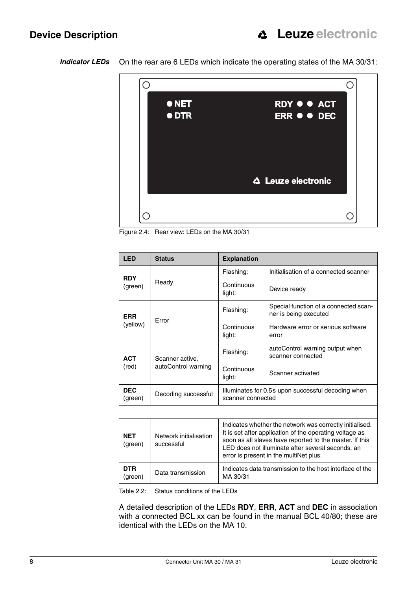*Indicator LEDs* On the rear are 6 LEDs which indicate the operating states of the MA 30/31:



Figure 2.4: Rear view: LEDs on the MA 30/31

| <b>LED</b>            | <b>Status</b>                          | <b>Explanation</b>                                                                                                                                                                                                                                                            |                                                                |
|-----------------------|----------------------------------------|-------------------------------------------------------------------------------------------------------------------------------------------------------------------------------------------------------------------------------------------------------------------------------|----------------------------------------------------------------|
| <b>RDY</b><br>(green) | Ready                                  | Flashing:                                                                                                                                                                                                                                                                     | Initialisation of a connected scanner                          |
|                       |                                        | Continuous<br>light:                                                                                                                                                                                                                                                          | Device ready                                                   |
| <b>ERR</b>            | Error                                  | Flashing:                                                                                                                                                                                                                                                                     | Special function of a connected scan-<br>ner is being executed |
| (yellow)              |                                        | Continuous<br>light:                                                                                                                                                                                                                                                          | Hardware error or serious software<br>error                    |
| <b>ACT</b><br>(red)   | Scanner active,<br>autoControl warning | Flashing:                                                                                                                                                                                                                                                                     | autoControl warning output when<br>scanner connected           |
|                       |                                        | Continuous<br>light:                                                                                                                                                                                                                                                          | Scanner activated                                              |
| <b>DEC</b><br>(green) | Decoding successful                    | Illuminates for 0.5s upon successful decoding when<br>scanner connected                                                                                                                                                                                                       |                                                                |
|                       |                                        |                                                                                                                                                                                                                                                                               |                                                                |
| <b>NET</b><br>(green) | Network initialisation<br>successful   | Indicates whether the network was correctly initialised.<br>It is set after application of the operating voltage as<br>soon as all slaves have reported to the master. If this<br>LED does not illuminate after several seconds, an<br>error is present in the multiNet plus. |                                                                |
| DTR.<br>(green)       | Data transmission                      | Indicates data transmission to the host interface of the<br>MA 30/31                                                                                                                                                                                                          |                                                                |

Table 2.2: Status conditions of the LEDs

A detailed description of the LEDs **RDY**, **ERR**, **ACT** and **DEC** in association with a connected BCL xx can be found in the manual BCL 40/80; these are identical with the LEDs on the MA 10.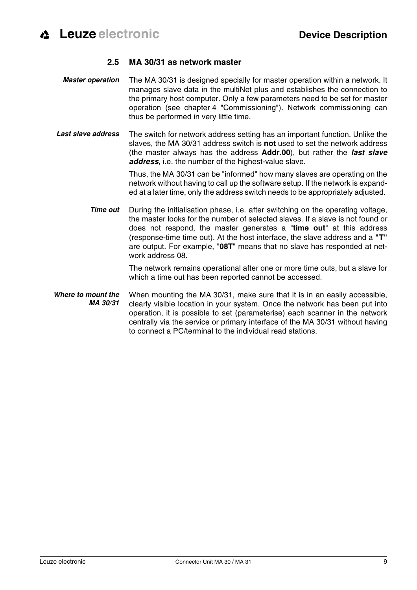### **2.5 MA 30/31 as network master**

- <span id="page-10-0"></span> *Master operation* The MA 30/31 is designed specially for master operation within a network. It manages slave data in the multiNet plus and establishes the connection to the primary host computer. Only a few parameters need to be set for master operation (see [chapter 4 "Commissioning"\)](#page-23-0). Network commissioning can thus be performed in very little time.
- *Last slave address* The switch for network address setting has an important function. Unlike the slaves, the MA 30/31 address switch is **not** used to set the network address (the master always has the address **Addr.00**), but rather the *last slave address*, i.e. the number of the highest-value slave.

Thus, the MA 30/31 can be "informed" how many slaves are operating on the network without having to call up the software setup. If the network is expanded at a later time, only the address switch needs to be appropriately adjusted.

*Time out* During the initialisation phase, i.e. after switching on the operating voltage, the master looks for the number of selected slaves. If a slave is not found or does not respond, the master generates a "**time out**" at this address (response-time time out). At the host interface, the slave address and a **"T"** are output. For example, "**08T**" means that no slave has responded at network address 08.

> The network remains operational after one or more time outs, but a slave for which a time out has been reported cannot be accessed.

 *Where to mount the MA 30/31* When mounting the MA 30/31, make sure that it is in an easily accessible, clearly visible location in your system. Once the network has been put into operation, it is possible to set (parameterise) each scanner in the network centrally via the service or primary interface of the MA 30/31 without having to connect a PC/terminal to the individual read stations.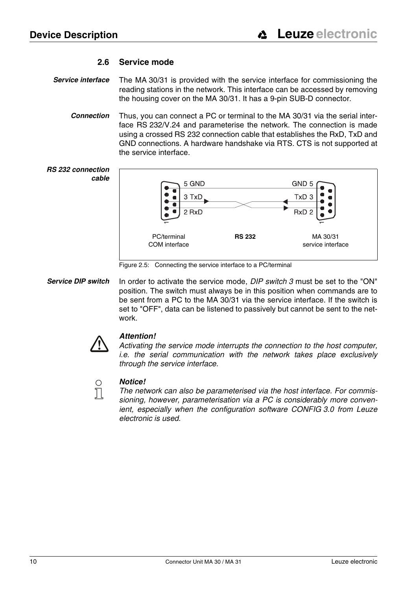### **2.6 Service mode**

- <span id="page-11-0"></span>**Service interface** The MA 30/31 is provided with the service interface for commissioning the reading stations in the network. This interface can be accessed by removing the housing cover on the MA 30/31. It has a 9-pin SUB-D connector.
	- *Connection* Thus, you can connect a PC or terminal to the MA 30/31 via the serial interface RS 232/V.24 and parameterise the network. The connection is made using a crossed RS 232 connection cable that establishes the RxD, TxD and GND connections. A hardware handshake via RTS. CTS is not supported at the service interface.



Figure 2.5: Connecting the service interface to a PC/terminal

*Service DIP switch* In order to activate the service mode, *DIP switch 3* must be set to the "ON" position. The switch must always be in this position when commands are to be sent from a PC to the MA 30/31 via the service interface. If the switch is set to "OFF", data can be listened to passively but cannot be sent to the network.



### *Attention!*

*Activating the service mode interrupts the connection to the host computer, i.e. the serial communication with the network takes place exclusively through the service interface.* 



### *Notice!*

*The network can also be parameterised via the host interface. For commissioning, however, parameterisation via a PC is considerably more convenient, especially when the configuration software CONFIG 3.0 from Leuze electronic is used.*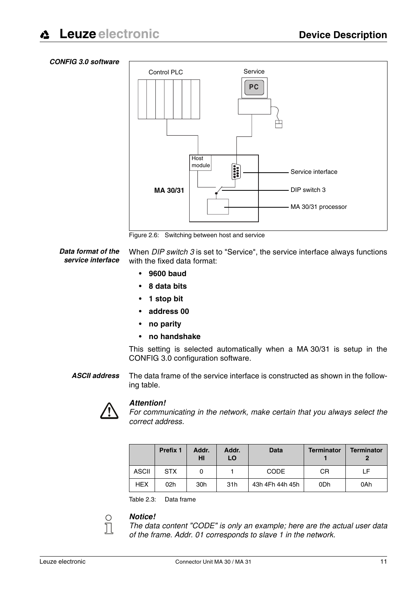#### *CONFIG 3.0 software*



Figure 2.6: Switching between host and service

*Data format of the service interface* When *DIP switch 3* is set to "Service", the service interface always functions with the fixed data format:

- **9600 baud**
- **8 data bits**
- **1 stop bit**
- **address 00**
- **no parity**
- **no handshake**

This setting is selected automatically when a MA 30/31 is setup in the CONFIG 3.0 configuration software.

*ASCII address* The data frame of the service interface is constructed as shown in the following table.



 $\bigcirc$  $\overline{\Pi}$ 

### *Attention!*

*For communicating in the network, make certain that you always select the correct address.*

|              | <b>Prefix 1</b> | Addr.<br>ΗI | Addr.<br>LO | <b>Data</b>     | <b>Terminator</b> | <b>Terminator</b> |
|--------------|-----------------|-------------|-------------|-----------------|-------------------|-------------------|
| <b>ASCII</b> | <b>STX</b>      |             |             | <b>CODE</b>     | CR                | LF                |
| <b>HEX</b>   | 02h             | 30h         | 31h         | 43h 4Fh 44h 45h | 0 <sub>Dh</sub>   | 0Ah               |

Table 2.3: Data frame

### *Notice!*

*The data content "CODE" is only an example; here are the actual user data of the frame. Addr. 01 corresponds to slave 1 in the network.*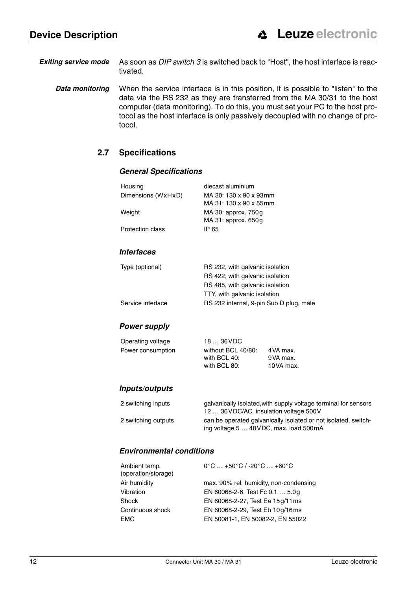*Exiting service mode* As soon as *DIP switch 3* is switched back to "Host", the host interface is reactivated.

<span id="page-13-0"></span>**Data monitoring** When the service interface is in this position, it is possible to "listen" to the data via the RS 232 as they are transferred from the MA 30/31 to the host computer (data monitoring). To do this, you must set your PC to the host protocol as the host interface is only passively decoupled with no change of protocol.

### **2.7 Specifications**

### *General Specifications*

| Housing            | diecast aluminium                       |  |  |
|--------------------|-----------------------------------------|--|--|
| Dimensions (WxHxD) | MA 30: 130 x 90 x 93mm                  |  |  |
|                    | MA 31: 130 x 90 x 55 mm                 |  |  |
| Weight             | MA 30: approx. 750g                     |  |  |
|                    | $MA$ 31: approx. 650g                   |  |  |
| Protection class   | IP 65                                   |  |  |
|                    |                                         |  |  |
| <b>Interfaces</b>  |                                         |  |  |
| Type (optional)    | RS 232, with galvanic isolation         |  |  |
|                    | RS 422, with galvanic isolation         |  |  |
|                    | RS 485, with galvanic isolation         |  |  |
|                    | TTY, with galvanic isolation            |  |  |
| Service interface  | RS 232 internal, 9-pin Sub D plug, male |  |  |

### *Power supply*

| Operating voltage | 18  36 VDC         |           |
|-------------------|--------------------|-----------|
| Power consumption | without BCL 40/80: | 4 VA max. |
|                   | with BCL 40:       | 9VA max.  |
|                   | with BCL 80:       | 10VA max. |

### *Inputs/outputs*

| 2 switching inputs  | galvanically isolated, with supply voltage terminal for sensors<br>12  36 VDC/AC, insulation voltage 500 V |
|---------------------|------------------------------------------------------------------------------------------------------------|
| 2 switching outputs | can be operated galvanically isolated or not isolated, switch-<br>ing voltage 5  48 VDC, max. load 500 mA  |

### *Environmental conditions*

| $0^{\circ}$ C  +50 $^{\circ}$ C / -20 $^{\circ}$ C  +60 $^{\circ}$ C |
|----------------------------------------------------------------------|
| max. 90% rel. humidity, non-condensing                               |
| EN 60068-2-6, Test Fc 0.1  5.0g                                      |
| EN 60068-2-27, Test Ea 15g/11 ms                                     |
| EN 60068-2-29, Test Eb 10g/16ms                                      |
| EN 50081-1, EN 50082-2, EN 55022                                     |
|                                                                      |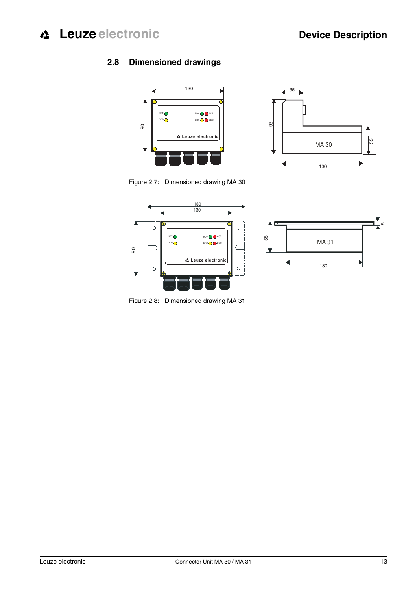## <span id="page-14-0"></span>**2.8 Dimensioned drawings**



Figure 2.7: Dimensioned drawing MA 30



Figure 2.8: Dimensioned drawing MA 31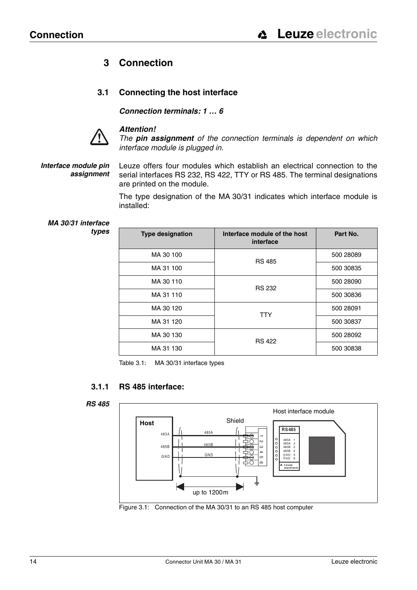## <span id="page-15-0"></span>**3 Connection**

## <span id="page-15-1"></span>**3.1 Connecting the host interface**

*Connection terminals: 1 … 6*



### *Attention!*

*The pin assignment of the connection terminals is dependent on which interface module is plugged in.* 

### *Interface module pin assignment*

Leuze offers four modules which establish an electrical connection to the serial interfaces RS 232, RS 422, TTY or RS 485. The terminal designations are printed on the module.

The type designation of the MA 30/31 indicates which interface module is installed:

 *MA 30/31 interface types*

| <b>Type designation</b> | Interface module of the host<br>interface | Part No.  |
|-------------------------|-------------------------------------------|-----------|
| MA 30 100               | <b>RS 485</b>                             | 500 28089 |
| MA 31 100               |                                           | 500 30835 |
| MA 30 110               | <b>RS 232</b>                             | 500 28090 |
| MA 31 110               |                                           | 500 30836 |
| MA 30 120               | <b>TTY</b>                                | 500 28091 |
| MA 31 120               |                                           | 500 30837 |
| MA 30 130               | <b>RS 422</b>                             | 500 28092 |
| MA 31 130               |                                           | 500 30838 |

Table 3.1: MA 30/31 interface types

### **3.1.1 RS 485 interface:**

<span id="page-15-2"></span>



Figure 3.1: Connection of the MA 30/31 to an RS 485 host computer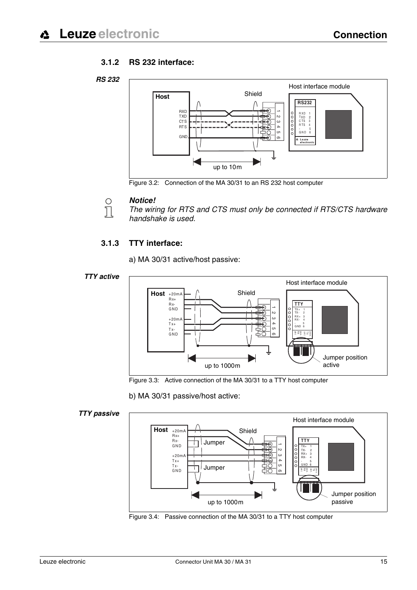### **3.1.2 RS 232 interface:**

<span id="page-16-0"></span>



Figure 3.2: Connection of the MA 30/31 to an RS 232 host computer

### *Notice!*

 $\bigcirc$  $\overline{\Pi}$ 

*The wiring for RTS and CTS must only be connected if RTS/CTS hardware handshake is used.*

### **3.1.3 TTY interface:**

a) MA 30/31 active/host passive:

### <span id="page-16-1"></span>*TTY active*



Figure 3.3: Active connection of the MA 30/31 to a TTY host computer

b) MA 30/31 passive/host active:

### *TTY passive*

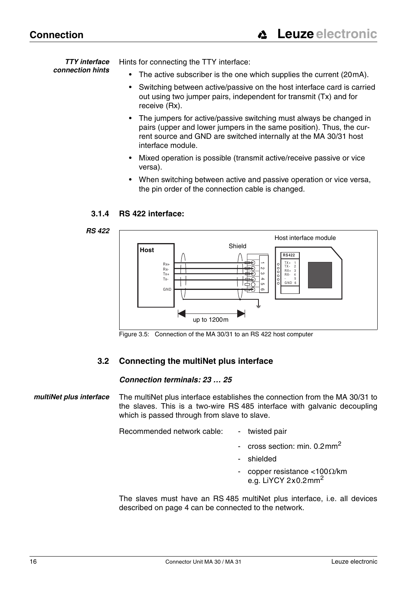*TTY interface connection hints* Hints for connecting the TTY interface:

- The active subscriber is the one which supplies the current (20mA).
- Switching between active/passive on the host interface card is carried out using two jumper pairs, independent for transmit (Tx) and for receive (Rx).
- The jumpers for active/passive switching must always be changed in pairs (upper and lower jumpers in the same position). Thus, the current source and GND are switched internally at the MA 30/31 host interface module.
- Mixed operation is possible (transmit active/receive passive or vice versa).
- When switching between active and passive operation or vice versa, the pin order of the connection cable is changed.

## **3.1.4 RS 422 interface:**

### <span id="page-17-0"></span> *RS 422*



Figure 3.5: Connection of the MA 30/31 to an RS 422 host computer

## **3.2 Connecting the multiNet plus interface**

### *Connection terminals: 23 … 25*

### <span id="page-17-1"></span> *multiNet plus interface* The multiNet plus interface establishes the connection from the MA 30/31 to the slaves. This is a two-wire RS 485 interface with galvanic decoupling which is passed through from slave to slave.

Recommended network cable: - twisted pair

- cross section: min. 0.2mm<sup>2</sup>
- shielded
- copper resistance <100 $\Omega$ /km e.g. LiYCY 2x0.2mm<sup>2</sup>

The slaves must have an RS 485 multiNet plus interface, i.e. all devices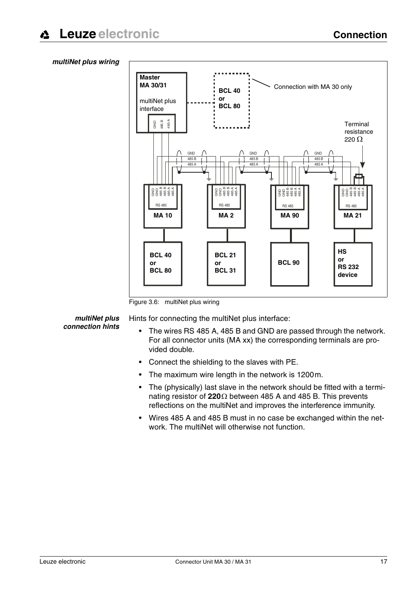### *multiNet plus wiring*



Figure 3.6: multiNet plus wiring

 *multiNet plus connection hints* Hints for connecting the multiNet plus interface:

- The wires RS 485 A, 485 B and GND are passed through the network. For all connector units (MA xx) the corresponding terminals are provided double.
- Connect the shielding to the slaves with PE.
- The maximum wire length in the network is 1200m.
- The (physically) last slave in the network should be fitted with a terminating resistor of **220**Ω between 485 A and 485 B. This prevents reflections on the multiNet and improves the interference immunity.
- Wires 485 A and 485 B must in no case be exchanged within the network. The multiNet will otherwise not function.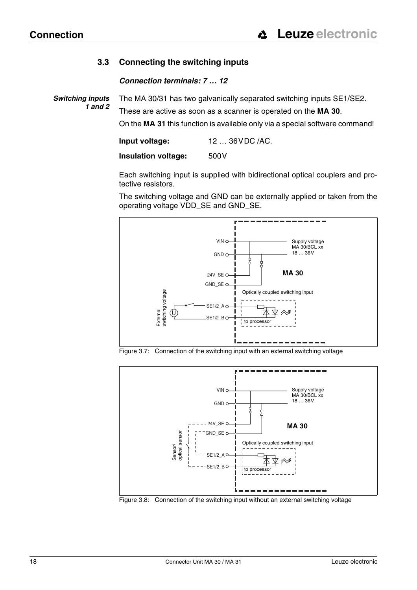## **3.3 Connecting the switching inputs**

### *Connection terminals: 7 … 12*

<span id="page-19-0"></span> *Switching inputs 1 and 2* The MA 30/31 has two galvanically separated switching inputs SE1/SE2. These are active as soon as a scanner is operated on the **MA 30**.

On the **MA 31** this function is available only via a special software command!

**Input voltage:** 12 … 36VDC /AC.

**Insulation voltage:** 500V

Each switching input is supplied with bidirectional optical couplers and protective resistors.

The switching voltage and GND can be externally applied or taken from the operating voltage VDD\_SE and GND\_SE.



Figure 3.7: Connection of the switching input with an external switching voltage



Figure 3.8: Connection of the switching input without an external switching voltage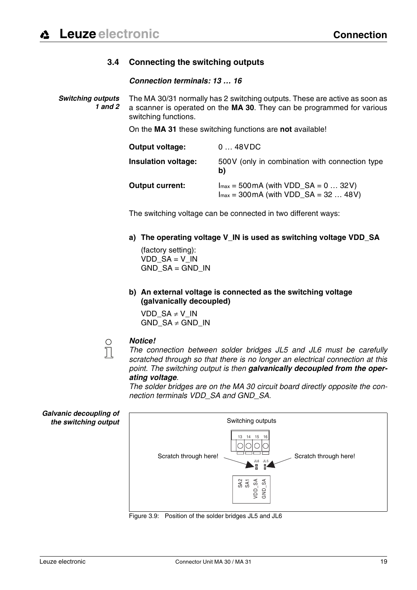## **3.4 Connecting the switching outputs**

### *Connection terminals: 13 … 16*

<span id="page-20-0"></span> *Switching outputs 1 and 2* The MA 30/31 normally has 2 switching outputs. These are active as soon as a scanner is operated on the **MA 30**. They can be programmed for various switching functions.

On the **MA 31** these switching functions are **not** available!

| <b>Output voltage:</b>     | 048VDC                                                                                            |
|----------------------------|---------------------------------------------------------------------------------------------------|
| <b>Insulation voltage:</b> | 500V (only in combination with connection type<br>b)                                              |
| <b>Output current:</b>     | $Imax = 500 \text{ mA}$ (with VDD_SA = 0  32V)<br>$Imax = 300 \text{ mA}$ (with VDD_SA = 32  48V) |

The switching voltage can be connected in two different ways:

**a) The operating voltage V\_IN is used as switching voltage VDD\_SA** 

(factory setting):  $VDD$  SA = V\_IN  $GND$   $SA = GND$   $IN$ 

**b) An external voltage is connected as the switching voltage (galvanically decoupled)**

VDD  $SA \neq V$  IN GND  $SA \neq GND$  IN

### *Notice!*

 $\frac{1}{2}$ 

*The connection between solder bridges JL5 and JL6 must be carefully scratched through so that there is no longer an electrical connection at this point. The switching output is then galvanically decoupled from the operating voltage.*

*The solder bridges are on the MA 30 circuit board directly opposite the connection terminals VDD\_SA and GND\_SA.*





Figure 3.9: Position of the solder bridges JL5 and JL6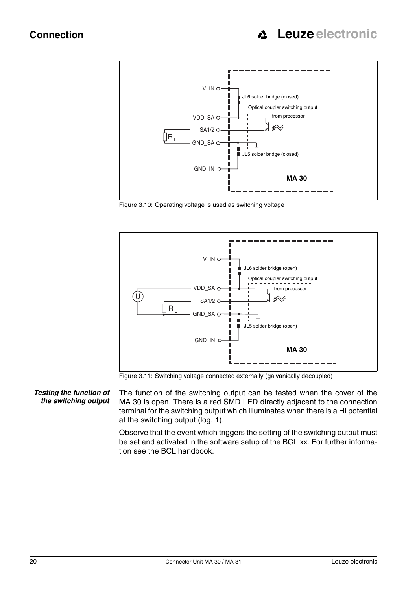

Figure 3.10: Operating voltage is used as switching voltage



Figure 3.11: Switching voltage connected externally (galvanically decoupled)

*Testing the function of the switching output* The function of the switching output can be tested when the cover of the MA 30 is open. There is a red SMD LED directly adjacent to the connection terminal for the switching output which illuminates when there is a HI potential at the switching output (log. 1).

> Observe that the event which triggers the setting of the switching output must be set and activated in the software setup of the BCL xx. For further information see the BCL handbook.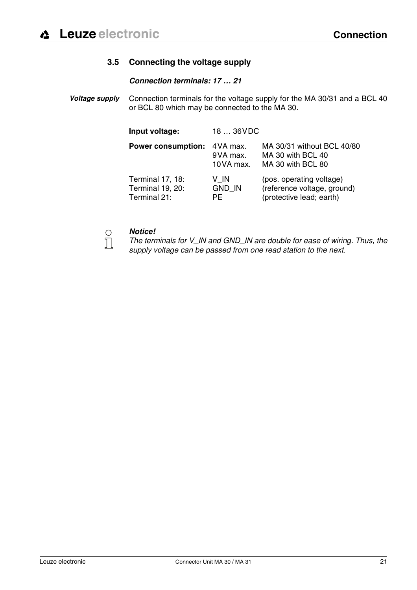## **3.5 Connecting the voltage supply**

### *Connection terminals: 17 … 21*

<span id="page-22-0"></span>*Voltage supply* Connection terminals for the voltage supply for the MA 30/31 and a BCL 40 or BCL 80 which may be connected to the MA 30.

| Input voltage:                                       | 18  36VDC                          |                                                                                     |
|------------------------------------------------------|------------------------------------|-------------------------------------------------------------------------------------|
| <b>Power consumption:</b>                            | 4 VA max.<br>9VA max.<br>10VA max. | MA 30/31 without BCL 40/80<br>MA 30 with BCL 40<br>MA 30 with BCL 80                |
| Terminal 17, 18:<br>Terminal 19, 20:<br>Terminal 21: | V IN<br><b>GND IN</b><br>PF.       | (pos. operating voltage)<br>(reference voltage, ground)<br>(protective lead; earth) |

 $\prod_{i=1}^{n}$ 

### *Notice!*

*The terminals for V\_IN and GND\_IN are double for ease of wiring. Thus, the supply voltage can be passed from one read station to the next.*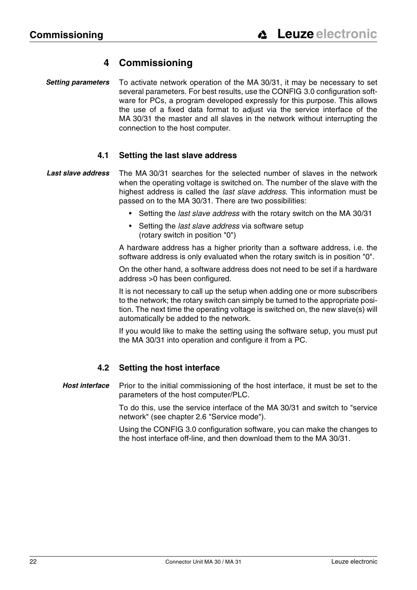## **4 Commissioning**

<span id="page-23-0"></span> *Setting parameters* To activate network operation of the MA 30/31, it may be necessary to set several parameters. For best results, use the CONFIG 3.0 configuration software for PCs, a program developed expressly for this purpose. This allows the use of a fixed data format to adjust via the service interface of the MA 30/31 the master and all slaves in the network without interrupting the connection to the host computer.

### **4.1 Setting the last slave address**

- <span id="page-23-1"></span> *Last slave address* The MA 30/31 searches for the selected number of slaves in the network when the operating voltage is switched on. The number of the slave with the highest address is called the *last slave address*. This information must be passed on to the MA 30/31. There are two possibilities:
	- Setting the *last slave address* with the rotary switch on the MA 30/31
	- Setting the *last slave address* via software setup (rotary switch in position "0")

A hardware address has a higher priority than a software address, i.e. the software address is only evaluated when the rotary switch is in position "0".

On the other hand, a software address does not need to be set if a hardware address >0 has been configured.

It is not necessary to call up the setup when adding one or more subscribers to the network; the rotary switch can simply be turned to the appropriate position. The next time the operating voltage is switched on, the new slave(s) will automatically be added to the network.

If you would like to make the setting using the software setup, you must put the MA 30/31 into operation and configure it from a PC.

### **4.2 Setting the host interface**

<span id="page-23-2"></span>*Host interface* Prior to the initial commissioning of the host interface, it must be set to the parameters of the host computer/PLC.

> To do this, use the service interface of the MA 30/31 and switch to "service network" (see [chapter 2.6 "Service mode"\)](#page-11-0).

> Using the CONFIG 3.0 configuration software, you can make the changes to the host interface off-line, and then download them to the MA 30/31.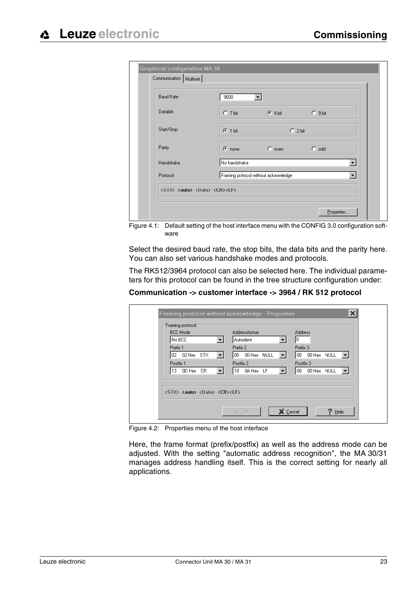| Databits<br>$C$ 7 bit<br>C.9 bit<br>$G$ 8 bit<br>$G$ 1 bit<br>$C$ 2 bit<br>$\degree$ odd<br>$C$ even<br>$\sigma$ none | <b>Baud Rate</b> | 9600         |                          |
|-----------------------------------------------------------------------------------------------------------------------|------------------|--------------|--------------------------|
| Start/Stop                                                                                                            |                  |              |                          |
| Parity<br>Handshake                                                                                                   |                  |              |                          |
|                                                                                                                       |                  |              |                          |
|                                                                                                                       |                  | No handshake |                          |
| Framing protocol without acknowledge<br>Protocol                                                                      |                  |              | $\overline{\phantom{a}}$ |

Figure 4.1: Default setting of the host interface menu with the CONFIG 3.0 configuration software

Select the desired baud rate, the stop bits, the data bits and the parity here. You can also set various handshake modes and protocols.

The RK512/3964 protocol can also be selected here. The individual parameters for this protocol can be found in the tree structure configuration under:

**Communication -> customer interface -> 3964 / RK 512 protocol**

| <b>BCC Mode</b><br>No BCC.                                 | Addressformat<br>Autoident                             | <b>Address</b><br>10                      |
|------------------------------------------------------------|--------------------------------------------------------|-------------------------------------------|
| Prefix 1                                                   | Prefix 2                                               | Prefix 3                                  |
| 02 02 Hex STX<br>▾                                         | 00 00 Hex NULL<br>$\left\vert \mathbf{v}\right\rangle$ | 00 00 Hex NULL<br>$\vert \bm{\tau} \vert$ |
| Postfix 1                                                  | Postfix 2                                              | Postfix 3                                 |
| 13 OD Hex CR<br>$\mathbf{v}$                               | $10$ 0A Hex LF<br>$\vert \mathbf{v} \vert$             | 00 00 Hex NULL                            |
| <stx> <auto> <data> <cr><lf></lf></cr></data></auto></stx> |                                                        |                                           |

Figure 4.2: Properties menu of the host interface

Here, the frame format (prefix/postfix) as well as the address mode can be adjusted. With the setting "automatic address recognition", the MA 30/31 manages address handling itself. This is the correct setting for nearly all applications.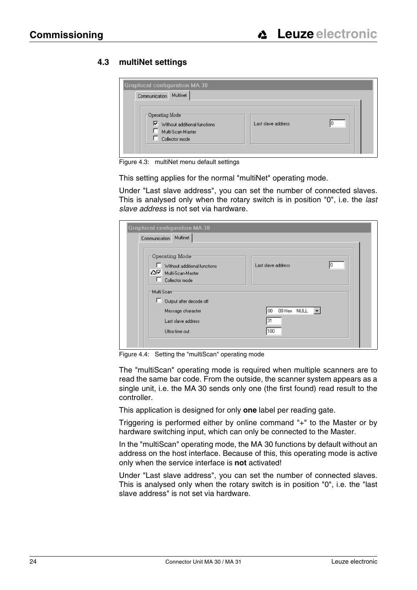## <span id="page-25-0"></span>**4.3 multiNet settings**

| <b>Graphical configuration MA 30</b><br>Communication Multinet                                         |                    |  |
|--------------------------------------------------------------------------------------------------------|--------------------|--|
| $\lnot$ Operating Mode<br>$\nabla$ Without additional functions<br>Multi-Scan-Master<br>Collector mode | Last slave address |  |

Figure 4.3: multiNet menu default settings

This setting applies for the normal "multiNet" operating mode.

Under "Last slave address", you can set the number of connected slaves. This is analysed only when the rotary switch is in position "0", i.e. the *last slave address* is not set via hardware.

| <b>Graphical configuration MA 30</b>                                                                     |                                  |
|----------------------------------------------------------------------------------------------------------|----------------------------------|
| Multinet<br>Communication                                                                                |                                  |
| Operating Mode-<br>Without additional functions<br>AV Multi-Scan-Master<br>Collector mode<br>Multi Scant | Last slave address<br>10         |
| ш<br>Output after decode off<br>Message character<br>Last slave address<br>Ultra time out                | 00 Hex NULL<br>l 00<br>31<br>100 |

Figure 4.4: Setting the "multiScan" operating mode

The "multiScan" operating mode is required when multiple scanners are to read the same bar code. From the outside, the scanner system appears as a single unit, i.e. the MA 30 sends only one (the first found) read result to the controller.

This application is designed for only **one** label per reading gate.

Triggering is performed either by online command "+" to the Master or by hardware switching input, which can only be connected to the Master.

In the "multiScan" operating mode, the MA 30 functions by default without an address on the host interface. Because of this, this operating mode is active only when the service interface is **not** activated!

Under "Last slave address", you can set the number of connected slaves. This is analysed only when the rotary switch is in position "0", i.e. the "last slave address" is not set via hardware.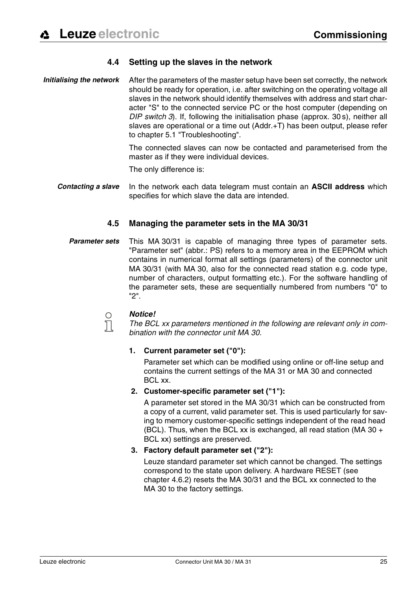### **4.4 Setting up the slaves in the network**

<span id="page-26-0"></span>*Initialising the network* After the parameters of the master setup have been set correctly, the network should be ready for operation, i.e. after switching on the operating voltage all slaves in the network should identify themselves with address and start character "S" to the connected service PC or the host computer (depending on *DIP switch 3*). If, following the initialisation phase (approx. 30 s), neither all slaves are operational or a time out (Addr.+T) has been output, please refer to [chapter 5.1 "Troubleshooting".](#page-29-1)

> The connected slaves can now be contacted and parameterised from the master as if they were individual devices.

The only difference is:

*Contacting a slave* In the network each data telegram must contain an **ASCII address** which specifies for which slave the data are intended.

### **4.5 Managing the parameter sets in the MA 30/31**

<span id="page-26-1"></span>*Parameter sets* This MA 30/31 is capable of managing three types of parameter sets. "Parameter set" (abbr.: PS) refers to a memory area in the EEPROM which contains in numerical format all settings (parameters) of the connector unit MA 30/31 (with MA 30, also for the connected read station e.g. code type, number of characters, output formatting etc.). For the software handling of the parameter sets, these are sequentially numbered from numbers "0" to "2".

 $\bigcirc$  $\Box$ 

### *Notice!*

*The BCL xx parameters mentioned in the following are relevant only in combination with the connector unit MA 30.*

### **1. Current parameter set ("0"):**

Parameter set which can be modified using online or off-line setup and contains the current settings of the MA 31 or MA 30 and connected BCL xx.

### **2. Customer-specific parameter set ("1"):**

A parameter set stored in the MA 30/31 which can be constructed from a copy of a current, valid parameter set. This is used particularly for saving to memory customer-specific settings independent of the read head (BCL). Thus, when the BCL xx is exchanged, all read station (MA 30  $+$ BCL xx) settings are preserved.

### **3. Factory default parameter set ("2"):**

Leuze standard parameter set which cannot be changed. The settings correspond to the state upon delivery. A hardware RESET ([see](#page-28-2)  [chapter 4.6.2\)](#page-28-2) resets the MA 30/31 and the BCL xx connected to the MA 30 to the factory settings.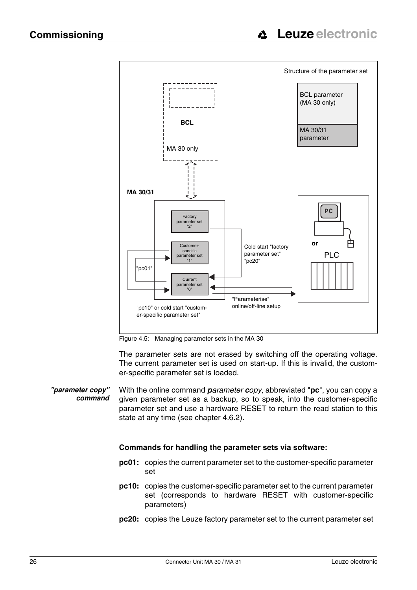

Figure 4.5: Managing parameter sets in the MA 30

The parameter sets are not erased by switching off the operating voltage. The current parameter set is used on start-up. If this is invalid, the customer-specific parameter set is loaded.

*"parameter copy" command* With the online command *parameter copy*, abbreviated "**pc**", you can copy a given parameter set as a backup, so to speak, into the customer-specific parameter set and use a hardware RESET to return the read station to this state at any time [\(see chapter 4.6.2](#page-28-2)).

### **Commands for handling the parameter sets via software:**

- **pc01:** copies the current parameter set to the customer-specific parameter set
- **pc10:** copies the customer-specific parameter set to the current parameter set (corresponds to hardware RESET with customer-specific parameters)
- **pc20:** copies the Leuze factory parameter set to the current parameter set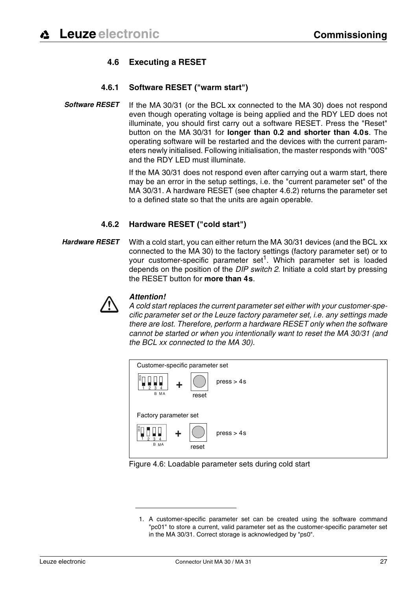## **4.6 Executing a RESET**

### **4.6.1 Software RESET ("warm start")**

<span id="page-28-1"></span><span id="page-28-0"></span>**Software RESET** If the MA 30/31 (or the BCL xx connected to the MA 30) does not respond even though operating voltage is being applied and the RDY LED does not illuminate, you should first carry out a software RESET. Press the "Reset" button on the MA 30/31 for **longer than 0.2 and shorter than 4.0s**. The operating software will be restarted and the devices with the current parameters newly initialised. Following initialisation, the master responds with "00S" and the RDY LED must illuminate.

> If the MA 30/31 does not respond even after carrying out a warm start, there may be an error in the setup settings, i.e. the "current parameter set" of the MA 30/31. A hardware RESET ([see chapter 4.6.2](#page-28-2)) returns the parameter set to a defined state so that the units are again operable.

### **4.6.2 Hardware RESET ("cold start")**

<span id="page-28-2"></span>*Hardware RESET* With a cold start, you can either return the MA 30/31 devices (and the BCL xx connected to the MA 30) to the factory settings (factory parameter set) or to your customer-specific parameter set<sup>1</sup>. Which parameter set is loaded depends on the position of the *DIP switch 2*. Initiate a cold start by pressing the RESET button for **more than 4s**.



### *Attention!*

*A cold start replaces the current parameter set either with your customer-specific parameter set or the Leuze factory parameter set, i.e. any settings made there are lost. Therefore, perform a hardware RESET only when the software cannot be started or when you intentionally want to reset the MA 30/31 (and the BCL xx connected to the MA 30).*



### Figure 4.6: Loadable parameter sets during cold start

<sup>1.</sup> A customer-specific parameter set can be created using the software command "pc01" to store a current, valid parameter set as the customer-specific parameter set in the MA 30/31. Correct storage is acknowledged by "ps0".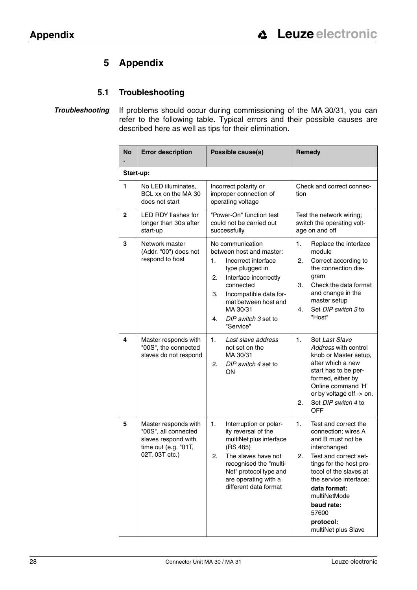## **5 Appendix**

## **5.1 Troubleshooting**

<span id="page-29-1"></span><span id="page-29-0"></span>*Troubleshooting* If problems should occur during commissioning of the MA 30/31, you can refer to the following table. Typical errors and their possible causes are described here as well as tips for their elimination.

| <b>No</b>    | <b>Error description</b>                                                                                      | Possible cause(s)                                                                                                                                                                                                                                      | Remedy                                                                                                                                                                                                                                                                                          |  |  |  |  |
|--------------|---------------------------------------------------------------------------------------------------------------|--------------------------------------------------------------------------------------------------------------------------------------------------------------------------------------------------------------------------------------------------------|-------------------------------------------------------------------------------------------------------------------------------------------------------------------------------------------------------------------------------------------------------------------------------------------------|--|--|--|--|
|              | Start-up:                                                                                                     |                                                                                                                                                                                                                                                        |                                                                                                                                                                                                                                                                                                 |  |  |  |  |
| 1            | No LED illuminates,<br>BCL xx on the MA 30<br>does not start                                                  | Incorrect polarity or<br>improper connection of<br>operating voltage                                                                                                                                                                                   | Check and correct connec-<br>tion                                                                                                                                                                                                                                                               |  |  |  |  |
| $\mathbf{2}$ | LED RDY flashes for<br>longer than 30s after<br>start-up                                                      | "Power-On" function test<br>could not be carried out<br>successfully                                                                                                                                                                                   | Test the network wiring;<br>switch the operating volt-<br>age on and off                                                                                                                                                                                                                        |  |  |  |  |
| 3            | Network master<br>(Addr. "00") does not<br>respond to host                                                    | No communication<br>between host and master:<br>1.<br>Incorrect interface<br>type plugged in<br>Interface incorrectly<br>2.<br>connected<br>З.<br>Incompatible data for-<br>mat between host and<br>MA 30/31<br>4.<br>DIP switch 3 set to<br>"Service" | 1.<br>Replace the interface<br>module<br>2.<br>Correct according to<br>the connection dia-<br>gram<br>3.<br>Check the data format<br>and change in the<br>master setup<br>Set DIP switch 3 to<br>4.<br>"Host"                                                                                   |  |  |  |  |
| 4            | Master responds with<br>"00S", the connected<br>slaves do not respond                                         | 1.<br>Last slave address<br>not set on the<br>MA 30/31<br>DIP switch 4 set to<br>2.<br>OΝ                                                                                                                                                              | 1.<br>Set Last Slave<br>Address with control<br>knob or Master setup,<br>after which a new<br>start has to be per-<br>formed, either by<br>Online command 'H'<br>or by voltage off -> on.<br>2.<br>Set DIP switch 4 to<br><b>OFF</b>                                                            |  |  |  |  |
| 5            | Master responds with<br>"00S", all connected<br>slaves respond with<br>time out (e.g. "01T,<br>02T, 03T etc.) | 1.<br>Interruption or polar-<br>ity reversal of the<br>multiNet plus interface<br>(RS 485)<br>2<br>The slaves have not<br>recognised the "multi-<br>Net" protocol type and<br>are operating with a<br>different data format                            | 1.<br>Test and correct the<br>connection; wires A<br>and B must not be<br>interchanged<br>Test and correct set-<br>2.<br>tings for the host pro-<br>tocol of the slaves at<br>the service interface:<br>data format:<br>multiNetMode<br>baud rate:<br>57600<br>protocol:<br>multiNet plus Slave |  |  |  |  |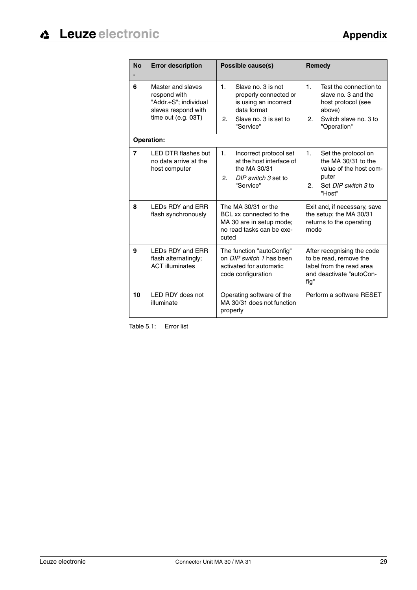| <b>No</b>      | <b>Error description</b>                                                                                 | Possible cause(s)                                                                                                                                 | Remedy                                                                                                                                        |
|----------------|----------------------------------------------------------------------------------------------------------|---------------------------------------------------------------------------------------------------------------------------------------------------|-----------------------------------------------------------------------------------------------------------------------------------------------|
| 6              | Master and slaves<br>respond with<br>"Addr.+S"; individual<br>slaves respond with<br>time out (e.g. 03T) | $\mathbf{1}$ .<br>Slave no. 3 is not<br>properly connected or<br>is using an incorrect<br>data format<br>2.<br>Slave no. 3 is set to<br>"Service" | $\mathbf{1}$ .<br>Test the connection to<br>slave no. 3 and the<br>host protocol (see<br>above)<br>2.<br>Switch slave no. 3 to<br>"Operation" |
|                | <b>Operation:</b>                                                                                        |                                                                                                                                                   |                                                                                                                                               |
| $\overline{7}$ | <b>LED DTR flashes but</b><br>no data arrive at the<br>host computer                                     | 1.<br>Incorrect protocol set<br>at the host interface of<br>the MA 30/31<br>2.<br>DIP switch 3 set to<br>"Service"                                | 1.<br>Set the protocol on<br>the MA 30/31 to the<br>value of the host com-<br>puter<br>2.<br>Set DIP switch 3 to<br>"Host"                    |
| 8              | LEDs RDY and ERR<br>flash synchronously                                                                  | The MA 30/31 or the<br>BCL xx connected to the<br>MA 30 are in setup mode;<br>no read tasks can be exe-<br>cuted                                  | Exit and, if necessary, save<br>the setup; the MA 30/31<br>returns to the operating<br>mode                                                   |
| 9              | LEDs RDY and ERR<br>flash alternatingly;<br><b>ACT illuminates</b>                                       | The function "autoConfig"<br>on DIP switch 1 has been<br>activated for automatic<br>code configuration                                            | After recognising the code<br>to be read, remove the<br>label from the read area<br>and deactivate "autoCon-<br>fig"                          |
| 10             | LED RDY does not<br>illuminate                                                                           | Operating software of the<br>MA 30/31 does not function<br>properly                                                                               | Perform a software RESET                                                                                                                      |

Table 5.1: Error list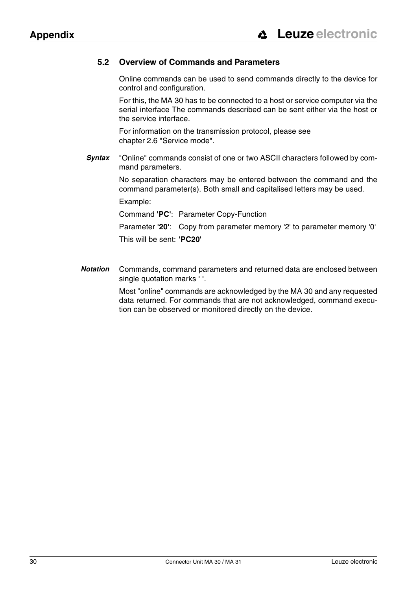## <span id="page-31-0"></span>**5.2 Overview of Commands and Parameters**

Online commands can be used to send commands directly to the device for control and configuration.

For this, the MA 30 has to be connected to a host or service computer via the serial interface The commands described can be sent either via the host or the service interface.

For information on the transmission protocol, please see [chapter 2.6 "Service mode".](#page-11-0)

*Syntax* "Online" commands consist of one or two ASCII characters followed by command parameters.

> No separation characters may be entered between the command and the command parameter(s). Both small and capitalised letters may be used.

Example:

Command **'PC'**: Parameter Copy-Function

Parameter **'20'**: Copy from parameter memory '2' to parameter memory '0' This will be sent: **'PC20'**

*Notation* Commands, command parameters and returned data are enclosed between single quotation marks **' '**.

> Most "online" commands are acknowledged by the MA 30 and any requested data returned. For commands that are not acknowledged, command execution can be observed or monitored directly on the device.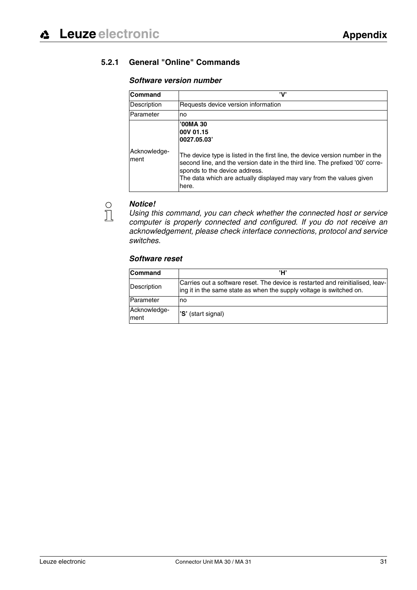## <span id="page-32-0"></span>**5.2.1 General "Online" Commands**

### *Software version number*

| Command              | 'V'                                                                                                                                                                                                                                                                              |
|----------------------|----------------------------------------------------------------------------------------------------------------------------------------------------------------------------------------------------------------------------------------------------------------------------------|
| Description          | Requests device version information                                                                                                                                                                                                                                              |
| Parameter            | no                                                                                                                                                                                                                                                                               |
|                      | '00MA 30<br>00V 01.15<br>0027.05.03                                                                                                                                                                                                                                              |
| Acknowledge-<br>ment | The device type is listed in the first line, the device version number in the<br>second line, and the version date in the third line. The prefixed '00' corre-<br>sponds to the device address.<br>The data which are actually displayed may vary from the values given<br>here. |

### *Notice!*

*Using this command, you can check whether the connected host or service computer is properly connected and configured. If you do not receive an acknowledgement, please check interface connections, protocol and service switches.*

### *Software reset*

| <b>Command</b>       | 'H'                                                                                                                                                   |
|----------------------|-------------------------------------------------------------------------------------------------------------------------------------------------------|
| Description          | Carries out a software reset. The device is restarted and reinitialised, leav-<br>ing it in the same state as when the supply voltage is switched on. |
| Parameter            | no                                                                                                                                                    |
| Acknowledge-<br>ment | 'S' (start signal)                                                                                                                                    |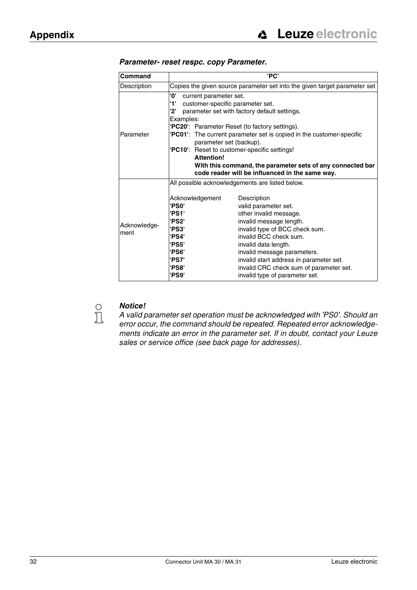| Command              | 'PC'                                                                                                                                                                                                                                                                                                                                                                                                                                                                                                |  |  |  |
|----------------------|-----------------------------------------------------------------------------------------------------------------------------------------------------------------------------------------------------------------------------------------------------------------------------------------------------------------------------------------------------------------------------------------------------------------------------------------------------------------------------------------------------|--|--|--|
| Description          | Copies the given source parameter set into the given target parameter set                                                                                                                                                                                                                                                                                                                                                                                                                           |  |  |  |
| Parameter            | '0'<br>current parameter set.<br>'1'<br>customer-specific parameter set.<br>'2'<br>parameter set with factory default settings.<br>Examples:<br>'PC20': Parameter Reset (to factory settings).<br><b>PC01</b> : The current parameter set is copied in the customer-specific<br>parameter set (backup).<br>'PC10': Reset to customer-specific settings!<br><b>Attention!</b><br>With this command, the parameter sets of any connected bar<br>code reader will be influenced in the same way.       |  |  |  |
| Acknowledge-<br>ment | All possible acknowledgements are listed below.<br>Acknowledgement<br>Description<br>'PS0'<br>valid parameter set.<br>'PS1'<br>other invalid message.<br>'PS2'<br>invalid message length.<br>'PS3'<br>invalid type of BCC check sum.<br>invalid BCC check sum.<br>'PS4'<br>'PS5'<br>invalid data length.<br>'PS6'<br>invalid message parameters.<br>'PS7'<br>invalid start address in parameter set.<br>invalid CRC check sum of parameter set.<br>'PS8'<br>'PS9'<br>invalid type of parameter set. |  |  |  |

### *Parameter- reset respc. copy Parameter.*



### *Notice!*

*A valid parameter set operation must be acknowledged with 'PS0'. Should an error occur, the command should be repeated. Repeated error acknowledgements indicate an error in the parameter set. If in doubt, contact your Leuze sales or service office (see back page for addresses).*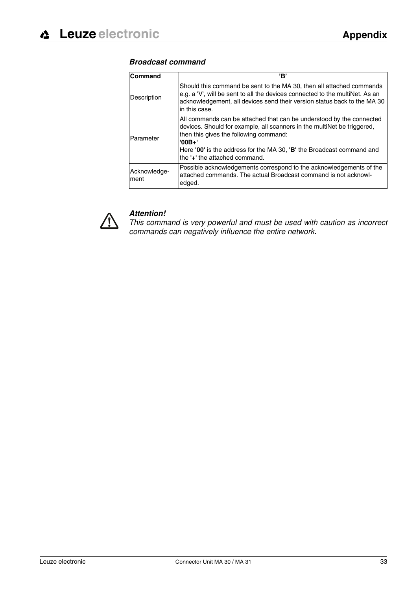### *Broadcast command*

| Command               | 'B'                                                                                                                                                                                                                                                                                                             |
|-----------------------|-----------------------------------------------------------------------------------------------------------------------------------------------------------------------------------------------------------------------------------------------------------------------------------------------------------------|
| Description           | Should this command be sent to the MA 30, then all attached commands<br>e.g. a 'V', will be sent to all the devices connected to the multiNet. As an<br>acknowledgement, all devices send their version status back to the MA 30<br>in this case.                                                               |
| Parameter             | All commands can be attached that can be understood by the connected<br>devices. Should for example, all scanners in the multiNet be triggered,<br>then this gives the following command:<br>$'00B+'$<br>Here '00' is the address for the MA 30, 'B' the Broadcast command and<br>the '+' the attached command. |
| Acknowledge-<br>Iment | Possible acknowledgements correspond to the acknowledgements of the<br>attached commands. The actual Broadcast command is not acknowl-<br>edged.                                                                                                                                                                |



## *Attention!*

*This command is very powerful and must be used with caution as incorrect commands can negatively influence the entire network.*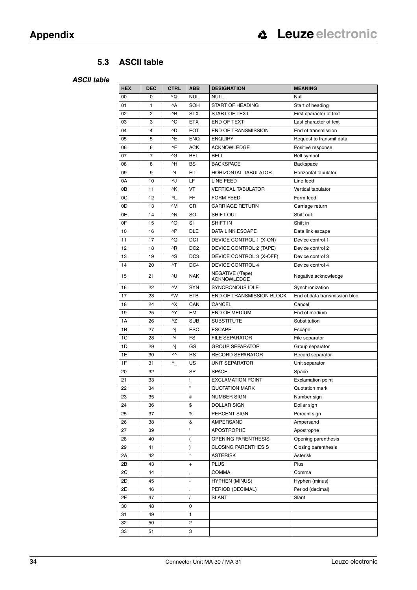## **5.3 ASCII table**

### <span id="page-35-0"></span>*ASCII table*

| ^@<br><b>NUL</b><br>Null<br>00<br><b>NULL</b><br>0<br>$^{\wedge}$ A<br>SOH<br>START OF HEADING<br>01<br>1<br>Start of heading<br>^B<br><b>STX</b><br>START OF TEXT<br>02<br>2<br>First character of text<br>^C<br>END OF TEXT<br>03<br><b>ETX</b><br>Last character of text<br>3<br>^D<br><b>END OF TRANSMISSION</b><br>04<br><b>EOT</b><br>End of transmission<br>4<br>^E<br><b>ENQUIRY</b><br>05<br><b>ENQ</b><br>5<br>Request to transmit data<br>^F<br><b>ACK</b><br><b>ACKNOWLEDGE</b><br>Positive response<br>06<br>6<br>^G<br><b>BELL</b><br><b>BEL</b><br>Bell symbol<br>07<br>7<br>^H<br>BS<br><b>BACKSPACE</b><br>08<br>8<br><b>Backspace</b><br>시<br>HT<br>09<br><b>HORIZONTAL TABULATOR</b><br>Horizontal tabulator<br>9<br>^J<br>LF<br>0A<br>LINE FEED<br>10<br>Line feed<br>^K<br>VT<br>0B<br><b>VERTICAL TABULATOR</b><br>Vertical tabulator<br>11<br>^L<br>FF<br>0C<br>12<br><b>FORM FEED</b><br>Form feed<br><b>CARRIAGE RETURN</b><br>0D<br>$\wedge$ M<br>CR<br>13<br>Carriage return<br>$\wedge N$<br>0E<br>SO<br><b>SHIFT OUT</b><br>Shift out<br>14<br>0F<br>^O<br>SI<br><b>SHIFT IN</b><br>Shift in<br>15<br>$\wedge P$<br><b>DLE</b><br>10<br>DATA LINK ESCAPE<br>16<br>Data link escape<br>^Q<br>DC <sub>1</sub><br>11<br>DEVICE CONTROL 1 (X-ON)<br>17<br>Device control 1<br>^R<br>DC <sub>2</sub><br>DEVICE CONTROL 2 (TAPE)<br>12<br>18<br>Device control 2<br>^S<br>DEVICE CONTROL 3 (X-OFF)<br>13<br>DC <sub>3</sub><br>19<br>Device control 3<br>^T<br><b>DEVICE CONTROL 4</b><br>14<br>DC4<br>20<br>Device control 4<br>NEGATIVE (/Tape)<br>15<br>۸U<br><b>NAK</b><br>Negative acknowledge<br>21<br><b>ACKNOWLEDGE</b><br>۸V<br><b>SYNCRONOUS IDLE</b><br>SYN<br>Synchronization<br>16<br>22<br>$\wedge W$<br><b>ETB</b><br><b>END OF TRANSMISSION BLOCK</b><br>End of data transmission bloc<br>17<br>23<br>٨X<br>CAN<br>CANCEL<br>18<br>24<br>Cancel<br>۸Y<br><b>EM</b><br><b>END OF MEDIUM</b><br>End of medium<br>19<br>25<br>$^{\wedge Z}$<br><b>SUB</b><br>1A<br><b>SUBSTITUTE</b><br>26<br>Substitution<br><b>ESC</b><br>1B<br>시<br><b>ESCAPE</b><br>27<br>Escape<br>v<br>FS<br>1C<br><b>FILE SEPARATOR</b><br>File separator<br>28<br>시<br>GS<br><b>GROUP SEPARATOR</b><br>1D<br>29<br>Group separator<br>$\sim$<br>1E<br>RS<br><b>RECORD SEPARATOR</b><br>Record separator<br>30<br>1F<br>US<br>$\wedge$<br><b>UNIT SEPARATOR</b><br>Unit separator<br>31<br>SP<br><b>SPACE</b><br>20<br>32<br>Space<br>21<br><b>EXCLAMATION POINT</b><br><b>Exclamation point</b><br>33<br>ı<br>H<br><b>QUOTATION MARK</b><br>Quotation mark<br>22<br>34<br>35<br>NUMBER SIGN<br>23<br>#<br>Number sign<br>\$<br>24<br>DOLLAR SIGN<br>Dollar sign<br>36<br>$\%$<br>PERCENT SIGN<br>Percent sign<br>25<br>37<br>AMPERSAND<br>Ampersand<br>26<br>&<br>38<br>$\mathbf{I}$<br>27<br><b>APOSTROPHE</b><br>Apostrophe<br>39<br>OPENING PARENTHESIS<br>Opening parenthesis<br>28<br>40<br>(<br><b>CLOSING PARENTHESIS</b><br>Closing parenthesis<br>29<br>41<br>$\mathcal{E}$<br>$\star$<br>2A<br>42<br><b>ASTERISK</b><br>Asterisk<br>2B<br><b>PLUS</b><br>Plus<br>43<br>$+$<br>2C<br>44<br><b>COMMA</b><br>Comma<br>2D<br><b>HYPHEN (MINUS)</b><br>45<br>Hyphen (minus)<br>2E<br>PERIOD (DECIMAL)<br>Period (decimal)<br>46<br>2F<br><b>SLANT</b><br>47<br>Slant<br>30<br>0<br>48<br>31<br>1<br>49<br>32<br>2<br>50 | <b>HEX</b> | <b>DEC</b> | <b>CTRL</b> | <b>ABB</b> | <b>DESIGNATION</b> | <b>MEANING</b> |
|------------------------------------------------------------------------------------------------------------------------------------------------------------------------------------------------------------------------------------------------------------------------------------------------------------------------------------------------------------------------------------------------------------------------------------------------------------------------------------------------------------------------------------------------------------------------------------------------------------------------------------------------------------------------------------------------------------------------------------------------------------------------------------------------------------------------------------------------------------------------------------------------------------------------------------------------------------------------------------------------------------------------------------------------------------------------------------------------------------------------------------------------------------------------------------------------------------------------------------------------------------------------------------------------------------------------------------------------------------------------------------------------------------------------------------------------------------------------------------------------------------------------------------------------------------------------------------------------------------------------------------------------------------------------------------------------------------------------------------------------------------------------------------------------------------------------------------------------------------------------------------------------------------------------------------------------------------------------------------------------------------------------------------------------------------------------------------------------------------------------------------------------------------------------------------------------------------------------------------------------------------------------------------------------------------------------------------------------------------------------------------------------------------------------------------------------------------------------------------------------------------------------------------------------------------------------------------------------------------------------------------------------------------------------------------------------------------------------------------------------------------------------------------------------------------------------------------------------------------------------------------------------------------------------------------------------------------------------------------------------------------------------------------------------------------------------------------------------------------------------------------------------------------------------------------------------------------------------------------------------------------------------------------------------------------------------------------------|------------|------------|-------------|------------|--------------------|----------------|
|                                                                                                                                                                                                                                                                                                                                                                                                                                                                                                                                                                                                                                                                                                                                                                                                                                                                                                                                                                                                                                                                                                                                                                                                                                                                                                                                                                                                                                                                                                                                                                                                                                                                                                                                                                                                                                                                                                                                                                                                                                                                                                                                                                                                                                                                                                                                                                                                                                                                                                                                                                                                                                                                                                                                                                                                                                                                                                                                                                                                                                                                                                                                                                                                                                                                                                                                          |            |            |             |            |                    |                |
|                                                                                                                                                                                                                                                                                                                                                                                                                                                                                                                                                                                                                                                                                                                                                                                                                                                                                                                                                                                                                                                                                                                                                                                                                                                                                                                                                                                                                                                                                                                                                                                                                                                                                                                                                                                                                                                                                                                                                                                                                                                                                                                                                                                                                                                                                                                                                                                                                                                                                                                                                                                                                                                                                                                                                                                                                                                                                                                                                                                                                                                                                                                                                                                                                                                                                                                                          |            |            |             |            |                    |                |
|                                                                                                                                                                                                                                                                                                                                                                                                                                                                                                                                                                                                                                                                                                                                                                                                                                                                                                                                                                                                                                                                                                                                                                                                                                                                                                                                                                                                                                                                                                                                                                                                                                                                                                                                                                                                                                                                                                                                                                                                                                                                                                                                                                                                                                                                                                                                                                                                                                                                                                                                                                                                                                                                                                                                                                                                                                                                                                                                                                                                                                                                                                                                                                                                                                                                                                                                          |            |            |             |            |                    |                |
|                                                                                                                                                                                                                                                                                                                                                                                                                                                                                                                                                                                                                                                                                                                                                                                                                                                                                                                                                                                                                                                                                                                                                                                                                                                                                                                                                                                                                                                                                                                                                                                                                                                                                                                                                                                                                                                                                                                                                                                                                                                                                                                                                                                                                                                                                                                                                                                                                                                                                                                                                                                                                                                                                                                                                                                                                                                                                                                                                                                                                                                                                                                                                                                                                                                                                                                                          |            |            |             |            |                    |                |
|                                                                                                                                                                                                                                                                                                                                                                                                                                                                                                                                                                                                                                                                                                                                                                                                                                                                                                                                                                                                                                                                                                                                                                                                                                                                                                                                                                                                                                                                                                                                                                                                                                                                                                                                                                                                                                                                                                                                                                                                                                                                                                                                                                                                                                                                                                                                                                                                                                                                                                                                                                                                                                                                                                                                                                                                                                                                                                                                                                                                                                                                                                                                                                                                                                                                                                                                          |            |            |             |            |                    |                |
|                                                                                                                                                                                                                                                                                                                                                                                                                                                                                                                                                                                                                                                                                                                                                                                                                                                                                                                                                                                                                                                                                                                                                                                                                                                                                                                                                                                                                                                                                                                                                                                                                                                                                                                                                                                                                                                                                                                                                                                                                                                                                                                                                                                                                                                                                                                                                                                                                                                                                                                                                                                                                                                                                                                                                                                                                                                                                                                                                                                                                                                                                                                                                                                                                                                                                                                                          |            |            |             |            |                    |                |
|                                                                                                                                                                                                                                                                                                                                                                                                                                                                                                                                                                                                                                                                                                                                                                                                                                                                                                                                                                                                                                                                                                                                                                                                                                                                                                                                                                                                                                                                                                                                                                                                                                                                                                                                                                                                                                                                                                                                                                                                                                                                                                                                                                                                                                                                                                                                                                                                                                                                                                                                                                                                                                                                                                                                                                                                                                                                                                                                                                                                                                                                                                                                                                                                                                                                                                                                          |            |            |             |            |                    |                |
|                                                                                                                                                                                                                                                                                                                                                                                                                                                                                                                                                                                                                                                                                                                                                                                                                                                                                                                                                                                                                                                                                                                                                                                                                                                                                                                                                                                                                                                                                                                                                                                                                                                                                                                                                                                                                                                                                                                                                                                                                                                                                                                                                                                                                                                                                                                                                                                                                                                                                                                                                                                                                                                                                                                                                                                                                                                                                                                                                                                                                                                                                                                                                                                                                                                                                                                                          |            |            |             |            |                    |                |
|                                                                                                                                                                                                                                                                                                                                                                                                                                                                                                                                                                                                                                                                                                                                                                                                                                                                                                                                                                                                                                                                                                                                                                                                                                                                                                                                                                                                                                                                                                                                                                                                                                                                                                                                                                                                                                                                                                                                                                                                                                                                                                                                                                                                                                                                                                                                                                                                                                                                                                                                                                                                                                                                                                                                                                                                                                                                                                                                                                                                                                                                                                                                                                                                                                                                                                                                          |            |            |             |            |                    |                |
|                                                                                                                                                                                                                                                                                                                                                                                                                                                                                                                                                                                                                                                                                                                                                                                                                                                                                                                                                                                                                                                                                                                                                                                                                                                                                                                                                                                                                                                                                                                                                                                                                                                                                                                                                                                                                                                                                                                                                                                                                                                                                                                                                                                                                                                                                                                                                                                                                                                                                                                                                                                                                                                                                                                                                                                                                                                                                                                                                                                                                                                                                                                                                                                                                                                                                                                                          |            |            |             |            |                    |                |
|                                                                                                                                                                                                                                                                                                                                                                                                                                                                                                                                                                                                                                                                                                                                                                                                                                                                                                                                                                                                                                                                                                                                                                                                                                                                                                                                                                                                                                                                                                                                                                                                                                                                                                                                                                                                                                                                                                                                                                                                                                                                                                                                                                                                                                                                                                                                                                                                                                                                                                                                                                                                                                                                                                                                                                                                                                                                                                                                                                                                                                                                                                                                                                                                                                                                                                                                          |            |            |             |            |                    |                |
|                                                                                                                                                                                                                                                                                                                                                                                                                                                                                                                                                                                                                                                                                                                                                                                                                                                                                                                                                                                                                                                                                                                                                                                                                                                                                                                                                                                                                                                                                                                                                                                                                                                                                                                                                                                                                                                                                                                                                                                                                                                                                                                                                                                                                                                                                                                                                                                                                                                                                                                                                                                                                                                                                                                                                                                                                                                                                                                                                                                                                                                                                                                                                                                                                                                                                                                                          |            |            |             |            |                    |                |
|                                                                                                                                                                                                                                                                                                                                                                                                                                                                                                                                                                                                                                                                                                                                                                                                                                                                                                                                                                                                                                                                                                                                                                                                                                                                                                                                                                                                                                                                                                                                                                                                                                                                                                                                                                                                                                                                                                                                                                                                                                                                                                                                                                                                                                                                                                                                                                                                                                                                                                                                                                                                                                                                                                                                                                                                                                                                                                                                                                                                                                                                                                                                                                                                                                                                                                                                          |            |            |             |            |                    |                |
|                                                                                                                                                                                                                                                                                                                                                                                                                                                                                                                                                                                                                                                                                                                                                                                                                                                                                                                                                                                                                                                                                                                                                                                                                                                                                                                                                                                                                                                                                                                                                                                                                                                                                                                                                                                                                                                                                                                                                                                                                                                                                                                                                                                                                                                                                                                                                                                                                                                                                                                                                                                                                                                                                                                                                                                                                                                                                                                                                                                                                                                                                                                                                                                                                                                                                                                                          |            |            |             |            |                    |                |
|                                                                                                                                                                                                                                                                                                                                                                                                                                                                                                                                                                                                                                                                                                                                                                                                                                                                                                                                                                                                                                                                                                                                                                                                                                                                                                                                                                                                                                                                                                                                                                                                                                                                                                                                                                                                                                                                                                                                                                                                                                                                                                                                                                                                                                                                                                                                                                                                                                                                                                                                                                                                                                                                                                                                                                                                                                                                                                                                                                                                                                                                                                                                                                                                                                                                                                                                          |            |            |             |            |                    |                |
|                                                                                                                                                                                                                                                                                                                                                                                                                                                                                                                                                                                                                                                                                                                                                                                                                                                                                                                                                                                                                                                                                                                                                                                                                                                                                                                                                                                                                                                                                                                                                                                                                                                                                                                                                                                                                                                                                                                                                                                                                                                                                                                                                                                                                                                                                                                                                                                                                                                                                                                                                                                                                                                                                                                                                                                                                                                                                                                                                                                                                                                                                                                                                                                                                                                                                                                                          |            |            |             |            |                    |                |
|                                                                                                                                                                                                                                                                                                                                                                                                                                                                                                                                                                                                                                                                                                                                                                                                                                                                                                                                                                                                                                                                                                                                                                                                                                                                                                                                                                                                                                                                                                                                                                                                                                                                                                                                                                                                                                                                                                                                                                                                                                                                                                                                                                                                                                                                                                                                                                                                                                                                                                                                                                                                                                                                                                                                                                                                                                                                                                                                                                                                                                                                                                                                                                                                                                                                                                                                          |            |            |             |            |                    |                |
|                                                                                                                                                                                                                                                                                                                                                                                                                                                                                                                                                                                                                                                                                                                                                                                                                                                                                                                                                                                                                                                                                                                                                                                                                                                                                                                                                                                                                                                                                                                                                                                                                                                                                                                                                                                                                                                                                                                                                                                                                                                                                                                                                                                                                                                                                                                                                                                                                                                                                                                                                                                                                                                                                                                                                                                                                                                                                                                                                                                                                                                                                                                                                                                                                                                                                                                                          |            |            |             |            |                    |                |
|                                                                                                                                                                                                                                                                                                                                                                                                                                                                                                                                                                                                                                                                                                                                                                                                                                                                                                                                                                                                                                                                                                                                                                                                                                                                                                                                                                                                                                                                                                                                                                                                                                                                                                                                                                                                                                                                                                                                                                                                                                                                                                                                                                                                                                                                                                                                                                                                                                                                                                                                                                                                                                                                                                                                                                                                                                                                                                                                                                                                                                                                                                                                                                                                                                                                                                                                          |            |            |             |            |                    |                |
|                                                                                                                                                                                                                                                                                                                                                                                                                                                                                                                                                                                                                                                                                                                                                                                                                                                                                                                                                                                                                                                                                                                                                                                                                                                                                                                                                                                                                                                                                                                                                                                                                                                                                                                                                                                                                                                                                                                                                                                                                                                                                                                                                                                                                                                                                                                                                                                                                                                                                                                                                                                                                                                                                                                                                                                                                                                                                                                                                                                                                                                                                                                                                                                                                                                                                                                                          |            |            |             |            |                    |                |
|                                                                                                                                                                                                                                                                                                                                                                                                                                                                                                                                                                                                                                                                                                                                                                                                                                                                                                                                                                                                                                                                                                                                                                                                                                                                                                                                                                                                                                                                                                                                                                                                                                                                                                                                                                                                                                                                                                                                                                                                                                                                                                                                                                                                                                                                                                                                                                                                                                                                                                                                                                                                                                                                                                                                                                                                                                                                                                                                                                                                                                                                                                                                                                                                                                                                                                                                          |            |            |             |            |                    |                |
|                                                                                                                                                                                                                                                                                                                                                                                                                                                                                                                                                                                                                                                                                                                                                                                                                                                                                                                                                                                                                                                                                                                                                                                                                                                                                                                                                                                                                                                                                                                                                                                                                                                                                                                                                                                                                                                                                                                                                                                                                                                                                                                                                                                                                                                                                                                                                                                                                                                                                                                                                                                                                                                                                                                                                                                                                                                                                                                                                                                                                                                                                                                                                                                                                                                                                                                                          |            |            |             |            |                    |                |
|                                                                                                                                                                                                                                                                                                                                                                                                                                                                                                                                                                                                                                                                                                                                                                                                                                                                                                                                                                                                                                                                                                                                                                                                                                                                                                                                                                                                                                                                                                                                                                                                                                                                                                                                                                                                                                                                                                                                                                                                                                                                                                                                                                                                                                                                                                                                                                                                                                                                                                                                                                                                                                                                                                                                                                                                                                                                                                                                                                                                                                                                                                                                                                                                                                                                                                                                          |            |            |             |            |                    |                |
|                                                                                                                                                                                                                                                                                                                                                                                                                                                                                                                                                                                                                                                                                                                                                                                                                                                                                                                                                                                                                                                                                                                                                                                                                                                                                                                                                                                                                                                                                                                                                                                                                                                                                                                                                                                                                                                                                                                                                                                                                                                                                                                                                                                                                                                                                                                                                                                                                                                                                                                                                                                                                                                                                                                                                                                                                                                                                                                                                                                                                                                                                                                                                                                                                                                                                                                                          |            |            |             |            |                    |                |
|                                                                                                                                                                                                                                                                                                                                                                                                                                                                                                                                                                                                                                                                                                                                                                                                                                                                                                                                                                                                                                                                                                                                                                                                                                                                                                                                                                                                                                                                                                                                                                                                                                                                                                                                                                                                                                                                                                                                                                                                                                                                                                                                                                                                                                                                                                                                                                                                                                                                                                                                                                                                                                                                                                                                                                                                                                                                                                                                                                                                                                                                                                                                                                                                                                                                                                                                          |            |            |             |            |                    |                |
|                                                                                                                                                                                                                                                                                                                                                                                                                                                                                                                                                                                                                                                                                                                                                                                                                                                                                                                                                                                                                                                                                                                                                                                                                                                                                                                                                                                                                                                                                                                                                                                                                                                                                                                                                                                                                                                                                                                                                                                                                                                                                                                                                                                                                                                                                                                                                                                                                                                                                                                                                                                                                                                                                                                                                                                                                                                                                                                                                                                                                                                                                                                                                                                                                                                                                                                                          |            |            |             |            |                    |                |
|                                                                                                                                                                                                                                                                                                                                                                                                                                                                                                                                                                                                                                                                                                                                                                                                                                                                                                                                                                                                                                                                                                                                                                                                                                                                                                                                                                                                                                                                                                                                                                                                                                                                                                                                                                                                                                                                                                                                                                                                                                                                                                                                                                                                                                                                                                                                                                                                                                                                                                                                                                                                                                                                                                                                                                                                                                                                                                                                                                                                                                                                                                                                                                                                                                                                                                                                          |            |            |             |            |                    |                |
|                                                                                                                                                                                                                                                                                                                                                                                                                                                                                                                                                                                                                                                                                                                                                                                                                                                                                                                                                                                                                                                                                                                                                                                                                                                                                                                                                                                                                                                                                                                                                                                                                                                                                                                                                                                                                                                                                                                                                                                                                                                                                                                                                                                                                                                                                                                                                                                                                                                                                                                                                                                                                                                                                                                                                                                                                                                                                                                                                                                                                                                                                                                                                                                                                                                                                                                                          |            |            |             |            |                    |                |
|                                                                                                                                                                                                                                                                                                                                                                                                                                                                                                                                                                                                                                                                                                                                                                                                                                                                                                                                                                                                                                                                                                                                                                                                                                                                                                                                                                                                                                                                                                                                                                                                                                                                                                                                                                                                                                                                                                                                                                                                                                                                                                                                                                                                                                                                                                                                                                                                                                                                                                                                                                                                                                                                                                                                                                                                                                                                                                                                                                                                                                                                                                                                                                                                                                                                                                                                          |            |            |             |            |                    |                |
|                                                                                                                                                                                                                                                                                                                                                                                                                                                                                                                                                                                                                                                                                                                                                                                                                                                                                                                                                                                                                                                                                                                                                                                                                                                                                                                                                                                                                                                                                                                                                                                                                                                                                                                                                                                                                                                                                                                                                                                                                                                                                                                                                                                                                                                                                                                                                                                                                                                                                                                                                                                                                                                                                                                                                                                                                                                                                                                                                                                                                                                                                                                                                                                                                                                                                                                                          |            |            |             |            |                    |                |
|                                                                                                                                                                                                                                                                                                                                                                                                                                                                                                                                                                                                                                                                                                                                                                                                                                                                                                                                                                                                                                                                                                                                                                                                                                                                                                                                                                                                                                                                                                                                                                                                                                                                                                                                                                                                                                                                                                                                                                                                                                                                                                                                                                                                                                                                                                                                                                                                                                                                                                                                                                                                                                                                                                                                                                                                                                                                                                                                                                                                                                                                                                                                                                                                                                                                                                                                          |            |            |             |            |                    |                |
|                                                                                                                                                                                                                                                                                                                                                                                                                                                                                                                                                                                                                                                                                                                                                                                                                                                                                                                                                                                                                                                                                                                                                                                                                                                                                                                                                                                                                                                                                                                                                                                                                                                                                                                                                                                                                                                                                                                                                                                                                                                                                                                                                                                                                                                                                                                                                                                                                                                                                                                                                                                                                                                                                                                                                                                                                                                                                                                                                                                                                                                                                                                                                                                                                                                                                                                                          |            |            |             |            |                    |                |
|                                                                                                                                                                                                                                                                                                                                                                                                                                                                                                                                                                                                                                                                                                                                                                                                                                                                                                                                                                                                                                                                                                                                                                                                                                                                                                                                                                                                                                                                                                                                                                                                                                                                                                                                                                                                                                                                                                                                                                                                                                                                                                                                                                                                                                                                                                                                                                                                                                                                                                                                                                                                                                                                                                                                                                                                                                                                                                                                                                                                                                                                                                                                                                                                                                                                                                                                          |            |            |             |            |                    |                |
|                                                                                                                                                                                                                                                                                                                                                                                                                                                                                                                                                                                                                                                                                                                                                                                                                                                                                                                                                                                                                                                                                                                                                                                                                                                                                                                                                                                                                                                                                                                                                                                                                                                                                                                                                                                                                                                                                                                                                                                                                                                                                                                                                                                                                                                                                                                                                                                                                                                                                                                                                                                                                                                                                                                                                                                                                                                                                                                                                                                                                                                                                                                                                                                                                                                                                                                                          |            |            |             |            |                    |                |
|                                                                                                                                                                                                                                                                                                                                                                                                                                                                                                                                                                                                                                                                                                                                                                                                                                                                                                                                                                                                                                                                                                                                                                                                                                                                                                                                                                                                                                                                                                                                                                                                                                                                                                                                                                                                                                                                                                                                                                                                                                                                                                                                                                                                                                                                                                                                                                                                                                                                                                                                                                                                                                                                                                                                                                                                                                                                                                                                                                                                                                                                                                                                                                                                                                                                                                                                          |            |            |             |            |                    |                |
|                                                                                                                                                                                                                                                                                                                                                                                                                                                                                                                                                                                                                                                                                                                                                                                                                                                                                                                                                                                                                                                                                                                                                                                                                                                                                                                                                                                                                                                                                                                                                                                                                                                                                                                                                                                                                                                                                                                                                                                                                                                                                                                                                                                                                                                                                                                                                                                                                                                                                                                                                                                                                                                                                                                                                                                                                                                                                                                                                                                                                                                                                                                                                                                                                                                                                                                                          |            |            |             |            |                    |                |
|                                                                                                                                                                                                                                                                                                                                                                                                                                                                                                                                                                                                                                                                                                                                                                                                                                                                                                                                                                                                                                                                                                                                                                                                                                                                                                                                                                                                                                                                                                                                                                                                                                                                                                                                                                                                                                                                                                                                                                                                                                                                                                                                                                                                                                                                                                                                                                                                                                                                                                                                                                                                                                                                                                                                                                                                                                                                                                                                                                                                                                                                                                                                                                                                                                                                                                                                          |            |            |             |            |                    |                |
|                                                                                                                                                                                                                                                                                                                                                                                                                                                                                                                                                                                                                                                                                                                                                                                                                                                                                                                                                                                                                                                                                                                                                                                                                                                                                                                                                                                                                                                                                                                                                                                                                                                                                                                                                                                                                                                                                                                                                                                                                                                                                                                                                                                                                                                                                                                                                                                                                                                                                                                                                                                                                                                                                                                                                                                                                                                                                                                                                                                                                                                                                                                                                                                                                                                                                                                                          |            |            |             |            |                    |                |
|                                                                                                                                                                                                                                                                                                                                                                                                                                                                                                                                                                                                                                                                                                                                                                                                                                                                                                                                                                                                                                                                                                                                                                                                                                                                                                                                                                                                                                                                                                                                                                                                                                                                                                                                                                                                                                                                                                                                                                                                                                                                                                                                                                                                                                                                                                                                                                                                                                                                                                                                                                                                                                                                                                                                                                                                                                                                                                                                                                                                                                                                                                                                                                                                                                                                                                                                          |            |            |             |            |                    |                |
|                                                                                                                                                                                                                                                                                                                                                                                                                                                                                                                                                                                                                                                                                                                                                                                                                                                                                                                                                                                                                                                                                                                                                                                                                                                                                                                                                                                                                                                                                                                                                                                                                                                                                                                                                                                                                                                                                                                                                                                                                                                                                                                                                                                                                                                                                                                                                                                                                                                                                                                                                                                                                                                                                                                                                                                                                                                                                                                                                                                                                                                                                                                                                                                                                                                                                                                                          |            |            |             |            |                    |                |
|                                                                                                                                                                                                                                                                                                                                                                                                                                                                                                                                                                                                                                                                                                                                                                                                                                                                                                                                                                                                                                                                                                                                                                                                                                                                                                                                                                                                                                                                                                                                                                                                                                                                                                                                                                                                                                                                                                                                                                                                                                                                                                                                                                                                                                                                                                                                                                                                                                                                                                                                                                                                                                                                                                                                                                                                                                                                                                                                                                                                                                                                                                                                                                                                                                                                                                                                          |            |            |             |            |                    |                |
|                                                                                                                                                                                                                                                                                                                                                                                                                                                                                                                                                                                                                                                                                                                                                                                                                                                                                                                                                                                                                                                                                                                                                                                                                                                                                                                                                                                                                                                                                                                                                                                                                                                                                                                                                                                                                                                                                                                                                                                                                                                                                                                                                                                                                                                                                                                                                                                                                                                                                                                                                                                                                                                                                                                                                                                                                                                                                                                                                                                                                                                                                                                                                                                                                                                                                                                                          |            |            |             |            |                    |                |
|                                                                                                                                                                                                                                                                                                                                                                                                                                                                                                                                                                                                                                                                                                                                                                                                                                                                                                                                                                                                                                                                                                                                                                                                                                                                                                                                                                                                                                                                                                                                                                                                                                                                                                                                                                                                                                                                                                                                                                                                                                                                                                                                                                                                                                                                                                                                                                                                                                                                                                                                                                                                                                                                                                                                                                                                                                                                                                                                                                                                                                                                                                                                                                                                                                                                                                                                          |            |            |             |            |                    |                |
|                                                                                                                                                                                                                                                                                                                                                                                                                                                                                                                                                                                                                                                                                                                                                                                                                                                                                                                                                                                                                                                                                                                                                                                                                                                                                                                                                                                                                                                                                                                                                                                                                                                                                                                                                                                                                                                                                                                                                                                                                                                                                                                                                                                                                                                                                                                                                                                                                                                                                                                                                                                                                                                                                                                                                                                                                                                                                                                                                                                                                                                                                                                                                                                                                                                                                                                                          |            |            |             |            |                    |                |
|                                                                                                                                                                                                                                                                                                                                                                                                                                                                                                                                                                                                                                                                                                                                                                                                                                                                                                                                                                                                                                                                                                                                                                                                                                                                                                                                                                                                                                                                                                                                                                                                                                                                                                                                                                                                                                                                                                                                                                                                                                                                                                                                                                                                                                                                                                                                                                                                                                                                                                                                                                                                                                                                                                                                                                                                                                                                                                                                                                                                                                                                                                                                                                                                                                                                                                                                          |            |            |             |            |                    |                |
|                                                                                                                                                                                                                                                                                                                                                                                                                                                                                                                                                                                                                                                                                                                                                                                                                                                                                                                                                                                                                                                                                                                                                                                                                                                                                                                                                                                                                                                                                                                                                                                                                                                                                                                                                                                                                                                                                                                                                                                                                                                                                                                                                                                                                                                                                                                                                                                                                                                                                                                                                                                                                                                                                                                                                                                                                                                                                                                                                                                                                                                                                                                                                                                                                                                                                                                                          |            |            |             |            |                    |                |
|                                                                                                                                                                                                                                                                                                                                                                                                                                                                                                                                                                                                                                                                                                                                                                                                                                                                                                                                                                                                                                                                                                                                                                                                                                                                                                                                                                                                                                                                                                                                                                                                                                                                                                                                                                                                                                                                                                                                                                                                                                                                                                                                                                                                                                                                                                                                                                                                                                                                                                                                                                                                                                                                                                                                                                                                                                                                                                                                                                                                                                                                                                                                                                                                                                                                                                                                          |            |            |             |            |                    |                |
|                                                                                                                                                                                                                                                                                                                                                                                                                                                                                                                                                                                                                                                                                                                                                                                                                                                                                                                                                                                                                                                                                                                                                                                                                                                                                                                                                                                                                                                                                                                                                                                                                                                                                                                                                                                                                                                                                                                                                                                                                                                                                                                                                                                                                                                                                                                                                                                                                                                                                                                                                                                                                                                                                                                                                                                                                                                                                                                                                                                                                                                                                                                                                                                                                                                                                                                                          |            |            |             |            |                    |                |
|                                                                                                                                                                                                                                                                                                                                                                                                                                                                                                                                                                                                                                                                                                                                                                                                                                                                                                                                                                                                                                                                                                                                                                                                                                                                                                                                                                                                                                                                                                                                                                                                                                                                                                                                                                                                                                                                                                                                                                                                                                                                                                                                                                                                                                                                                                                                                                                                                                                                                                                                                                                                                                                                                                                                                                                                                                                                                                                                                                                                                                                                                                                                                                                                                                                                                                                                          |            |            |             |            |                    |                |
|                                                                                                                                                                                                                                                                                                                                                                                                                                                                                                                                                                                                                                                                                                                                                                                                                                                                                                                                                                                                                                                                                                                                                                                                                                                                                                                                                                                                                                                                                                                                                                                                                                                                                                                                                                                                                                                                                                                                                                                                                                                                                                                                                                                                                                                                                                                                                                                                                                                                                                                                                                                                                                                                                                                                                                                                                                                                                                                                                                                                                                                                                                                                                                                                                                                                                                                                          |            |            |             |            |                    |                |
|                                                                                                                                                                                                                                                                                                                                                                                                                                                                                                                                                                                                                                                                                                                                                                                                                                                                                                                                                                                                                                                                                                                                                                                                                                                                                                                                                                                                                                                                                                                                                                                                                                                                                                                                                                                                                                                                                                                                                                                                                                                                                                                                                                                                                                                                                                                                                                                                                                                                                                                                                                                                                                                                                                                                                                                                                                                                                                                                                                                                                                                                                                                                                                                                                                                                                                                                          |            |            |             |            |                    |                |
| 3<br>33<br>51                                                                                                                                                                                                                                                                                                                                                                                                                                                                                                                                                                                                                                                                                                                                                                                                                                                                                                                                                                                                                                                                                                                                                                                                                                                                                                                                                                                                                                                                                                                                                                                                                                                                                                                                                                                                                                                                                                                                                                                                                                                                                                                                                                                                                                                                                                                                                                                                                                                                                                                                                                                                                                                                                                                                                                                                                                                                                                                                                                                                                                                                                                                                                                                                                                                                                                                            |            |            |             |            |                    |                |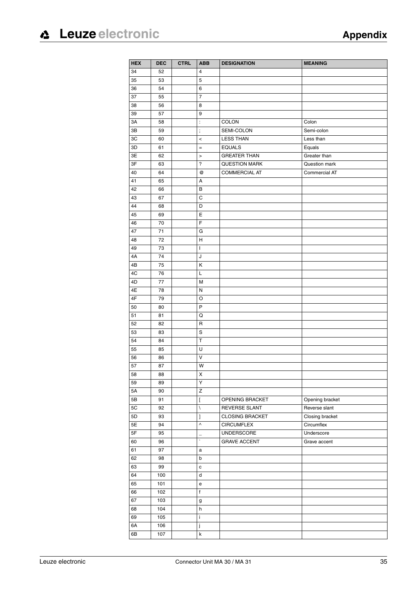| <b>HEX</b>    | <b>DEC</b> | <b>CTRL</b> | <b>ABB</b>                                        | <b>DESIGNATION</b>     | <b>MEANING</b>  |
|---------------|------------|-------------|---------------------------------------------------|------------------------|-----------------|
| 34            | 52         |             | 4                                                 |                        |                 |
| 35            | 53         |             | 5                                                 |                        |                 |
| 36            | 54         |             | 6                                                 |                        |                 |
| 37            | 55         |             | 7                                                 |                        |                 |
| 38            | 56         |             | 8                                                 |                        |                 |
| 39            | 57         |             | 9                                                 |                        |                 |
| 3A            | 58         |             | $\ddot{\phantom{a}}$                              | <b>COLON</b>           | Colon           |
| 3B            | 59         |             | $\vdots$                                          | SEMI-COLON             | Semi-colon      |
| 3C            | 60         |             | $\,<$                                             | <b>LESS THAN</b>       | Less than       |
| 3D            | 61         |             | $=$                                               | <b>EQUALS</b>          | Equals          |
| 3E            | 62         |             | $\geq$                                            | <b>GREATER THAN</b>    | Greater than    |
| 3F            | 63         |             | $\overline{\phantom{a}}$                          | <b>QUESTION MARK</b>   | Question mark   |
| 40            | 64         |             | @                                                 | <b>COMMERCIAL AT</b>   | Commercial AT   |
| 41            | 65         |             | А                                                 |                        |                 |
| 42            | 66         |             | В                                                 |                        |                 |
| 43            | 67         |             | C                                                 |                        |                 |
| 44            | 68         |             | D                                                 |                        |                 |
| 45            | 69         |             | Е                                                 |                        |                 |
| 46            | 70         |             | F                                                 |                        |                 |
| 47            | 71         |             | G                                                 |                        |                 |
| 48            | 72         |             | н                                                 |                        |                 |
| 49            | 73         |             | I                                                 |                        |                 |
| 4A            | 74         |             | J                                                 |                        |                 |
| 4B            | 75         |             | Κ                                                 |                        |                 |
| 4C            | 76         |             | Г                                                 |                        |                 |
| 4D            | 77         |             | М                                                 |                        |                 |
|               |            |             |                                                   |                        |                 |
| 4E            | 78         |             | N                                                 |                        |                 |
| 4F            | 79         |             | O<br>P                                            |                        |                 |
| 50            | 80         |             |                                                   |                        |                 |
| 51            | 81         |             | Q                                                 |                        |                 |
| 52            | 82         |             | R<br>S                                            |                        |                 |
| 53            | 83         |             | T                                                 |                        |                 |
| 54            | 84         |             | U                                                 |                        |                 |
| 55            | 85         |             | V                                                 |                        |                 |
| 56<br>57      | 86<br>87   |             | W                                                 |                        |                 |
|               |            |             |                                                   |                        |                 |
| 58<br>59      | 88         |             | х<br>Υ                                            |                        |                 |
| $5A$          | 89<br>90   |             | Z                                                 |                        |                 |
| 5B            | 91         |             |                                                   | OPENING BRACKET        | Opening bracket |
| $5\mathrm{C}$ | 92         |             | ſ<br>$\backslash$                                 | REVERSE SLANT          | Reverse slant   |
| 5D            | 93         |             |                                                   | <b>CLOSING BRACKET</b> | Closing bracket |
| 5E            | 94         |             | J<br>$\boldsymbol{\wedge}$                        | <b>CIRCUMFLEX</b>      | Circumflex      |
| $5\mathsf{F}$ | 95         |             |                                                   | UNDERSCORE             | Underscore      |
| 60            | 96         |             | $\overline{\phantom{0}}$<br>$\tilde{\phantom{a}}$ | <b>GRAVE ACCENT</b>    | Grave accent    |
| 61            | 97         |             | а                                                 |                        |                 |
| 62            |            |             |                                                   |                        |                 |
| 63            | 98<br>99   |             | b<br>c                                            |                        |                 |
| 64            | 100        |             | d                                                 |                        |                 |
| 65            | 101        |             |                                                   |                        |                 |
| 66            | 102        |             | e<br>$\mathsf f$                                  |                        |                 |
| 67            | 103        |             |                                                   |                        |                 |
|               |            |             | g                                                 |                        |                 |
| 68            | 104        |             | h                                                 |                        |                 |
| 69            | 105        |             | İ                                                 |                        |                 |
| 6A            | 106        |             | j                                                 |                        |                 |
| 6B            | 107        |             | $\sf k$                                           |                        |                 |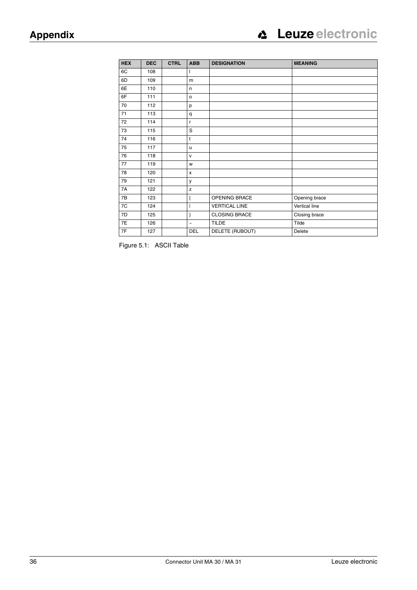| <b>HEX</b> | <b>DEC</b> | <b>CTRL</b> | <b>ABB</b>   | <b>DESIGNATION</b>   | <b>MEANING</b> |
|------------|------------|-------------|--------------|----------------------|----------------|
| 6C         | 108        |             | L            |                      |                |
| 6D         | 109        |             | m            |                      |                |
| 6E         | 110        |             | n            |                      |                |
| 6F         | 111        |             | $\mathsf{o}$ |                      |                |
| 70         | 112        |             | p            |                      |                |
| 71         | 113        |             | q            |                      |                |
| 72         | 114        |             | r.           |                      |                |
| 73         | 115        |             | S            |                      |                |
| 74         | 116        |             | $\mathsf{t}$ |                      |                |
| 75         | 117        |             | u            |                      |                |
| 76         | 118        |             | $\mathsf{V}$ |                      |                |
| 77         | 119        |             | W            |                      |                |
| 78         | 120        |             | x            |                      |                |
| 79         | 121        |             | у            |                      |                |
| 7A         | 122        |             | z            |                      |                |
| 7B         | 123        |             | {            | OPENING BRACE        | Opening brace  |
| 7C         | 124        |             |              | <b>VERTICAL LINE</b> | Vertical line  |
| 7D         | 125        |             | }            | <b>CLOSING BRACE</b> | Closing brace  |
| 7E         | 126        |             | $\sim$       | <b>TILDE</b>         | Tilde          |
| 7F         | 127        |             | <b>DEL</b>   | DELETE (RUBOUT)      | Delete         |

Figure 5.1: ASCII Table